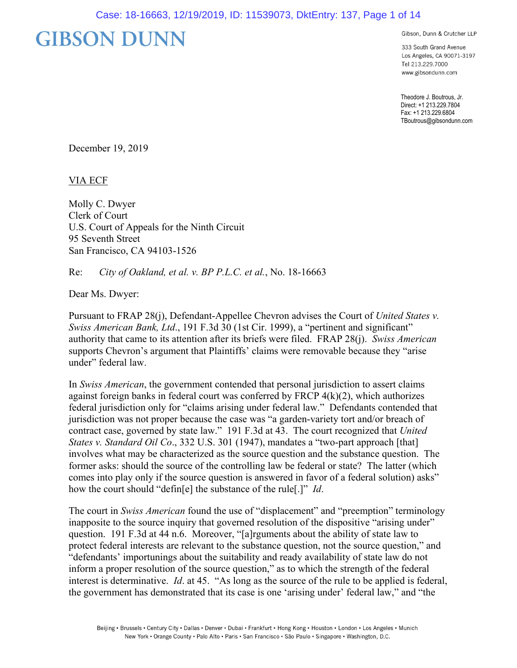# **GIBSON DUNN**

Gibson, Dunn & Crutcher LLP

333 South Grand Avenue Los Angeles, CA 90071-3197 Tel 213.229.7000 www.gibsondunn.com

Theodore J. Boutrous, Jr. Direct: +1 213.229.7804 Fax: +1 213.229.6804 TBoutrous@gibsondunn.com

December 19, 2019

VIA ECF

Molly C. Dwyer Clerk of Court U.S. Court of Appeals for the Ninth Circuit 95 Seventh Street San Francisco, CA 94103-1526

Re: *City of Oakland, et al. v. BP P.L.C. et al.*, No. 18-16663

Dear Ms. Dwyer:

Pursuant to FRAP 28(j), Defendant-Appellee Chevron advises the Court of *United States v. Swiss American Bank, Ltd*., 191 F.3d 30 (1st Cir. 1999), a "pertinent and significant" authority that came to its attention after its briefs were filed. FRAP 28(j). *Swiss American* supports Chevron's argument that Plaintiffs' claims were removable because they "arise under" federal law.

In *Swiss American*, the government contended that personal jurisdiction to assert claims against foreign banks in federal court was conferred by FRCP 4(k)(2), which authorizes federal jurisdiction only for "claims arising under federal law." Defendants contended that jurisdiction was not proper because the case was "a garden-variety tort and/or breach of contract case, governed by state law." 191 F.3d at 43. The court recognized that *United States v. Standard Oil Co*., 332 U.S. 301 (1947), mandates a "two-part approach [that] involves what may be characterized as the source question and the substance question. The former asks: should the source of the controlling law be federal or state? The latter (which comes into play only if the source question is answered in favor of a federal solution) asks" how the court should "defin[e] the substance of the rule[.]" *Id*.

The court in *Swiss American* found the use of "displacement" and "preemption" terminology inapposite to the source inquiry that governed resolution of the dispositive "arising under" question. 191 F.3d at 44 n.6. Moreover, "[a]rguments about the ability of state law to protect federal interests are relevant to the substance question, not the source question," and "defendants' importunings about the suitability and ready availability of state law do not inform a proper resolution of the source question," as to which the strength of the federal interest is determinative. *Id*. at 45. "As long as the source of the rule to be applied is federal, the government has demonstrated that its case is one 'arising under' federal law," and "the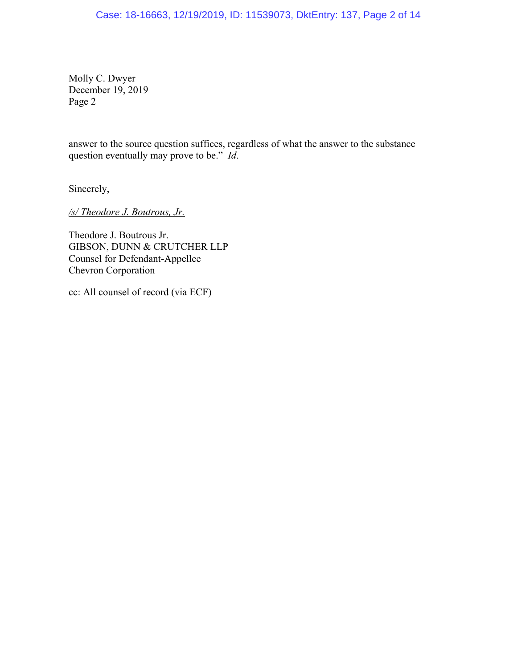# Case: 18-16663, 12/19/2019, ID: 11539073, DktEntry: 137, Page 2 of 14

Molly C. Dwyer December 19, 2019 Page 2

answer to the source question suffices, regardless of what the answer to the substance question eventually may prove to be." *Id*.

Sincerely,

*/s/ Theodore J. Boutrous, Jr.* 

Theodore J. Boutrous Jr. GIBSON, DUNN & CRUTCHER LLP Counsel for Defendant-Appellee Chevron Corporation

cc: All counsel of record (via ECF)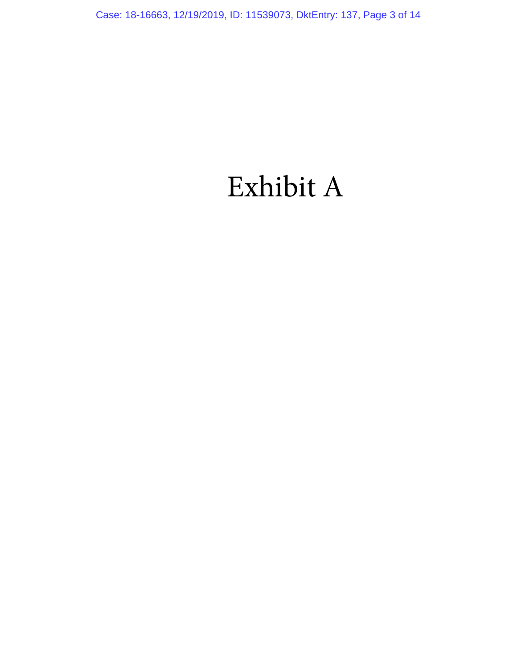Case: 18-16663, 12/19/2019, ID: 11539073, DktEntry: 137, Page 3 of 14

# Exhibit A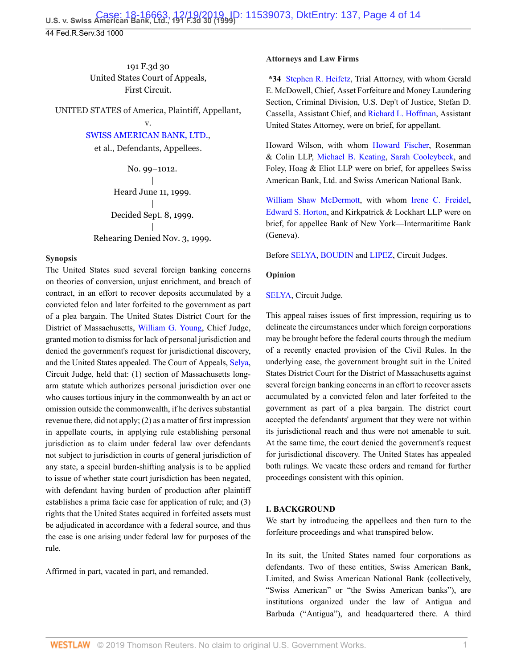191 F.3d 30 United States Court of Appeals, First Circuit.

UNITED STATES of America, Plaintiff, Appellant, v.

# [SWISS AMERICAN BANK, LTD.,](http://www.westlaw.com/Search/Results.html?query=advanced%3a+WCAID(I6A78E53142B311DDA5520014224D2780)&saveJuris=False&contentType=BUSINESS-INVESTIGATOR&startIndex=1&contextData=(sc.Default)&categoryPageUrl=Home%2fCompanyInvestigator&originationContext=document&vr=3.0&rs=cblt1.0&transitionType=DocumentItem)

et al., Defendants, Appellees.

No. 99–1012. | Heard June 11, 1999. | Decided Sept. 8, 1999. | Rehearing Denied Nov. 3, 1999.

#### **Synopsis**

The United States sued several foreign banking concerns on theories of conversion, unjust enrichment, and breach of contract, in an effort to recover deposits accumulated by a convicted felon and later forfeited to the government as part of a plea bargain. The United States District Court for the District of Massachusetts, [William G. Young](http://www.westlaw.com/Link/Document/FullText?findType=h&pubNum=176284&cite=0101109601&originatingDoc=I4c1d5a4094af11d9a707f4371c9c34f0&refType=RQ&originationContext=document&vr=3.0&rs=cblt1.0&transitionType=DocumentItem&contextData=(sc.History*oc.Search)), Chief Judge, granted motion to dismiss for lack of personal jurisdiction and denied the government's request for jurisdictional discovery, and the United States appealed. The Court of Appeals, [Selya](http://www.westlaw.com/Link/Document/FullText?findType=h&pubNum=176284&cite=0262792801&originatingDoc=I4c1d5a4094af11d9a707f4371c9c34f0&refType=RQ&originationContext=document&vr=3.0&rs=cblt1.0&transitionType=DocumentItem&contextData=(sc.History*oc.Search)), Circuit Judge, held that: (1) section of Massachusetts longarm statute which authorizes personal jurisdiction over one who causes tortious injury in the commonwealth by an act or omission outside the commonwealth, if he derives substantial revenue there, did not apply; (2) as a matter of first impression in appellate courts, in applying rule establishing personal jurisdiction as to claim under federal law over defendants not subject to jurisdiction in courts of general jurisdiction of any state, a special burden-shifting analysis is to be applied to issue of whether state court jurisdiction has been negated, with defendant having burden of production after plaintiff establishes a prima facie case for application of rule; and (3) rights that the United States acquired in forfeited assets must be adjudicated in accordance with a federal source, and thus the case is one arising under federal law for purposes of the rule.

Affirmed in part, vacated in part, and remanded.

#### **Attorneys and Law Firms**

**\*34** [Stephen R. Heifetz](http://www.westlaw.com/Link/Document/FullText?findType=h&pubNum=176284&cite=0322804201&originatingDoc=I4c1d5a4094af11d9a707f4371c9c34f0&refType=RQ&originationContext=document&vr=3.0&rs=cblt1.0&transitionType=DocumentItem&contextData=(sc.History*oc.Search)), Trial Attorney, with whom Gerald E. McDowell, Chief, Asset Forfeiture and Money Laundering Section, Criminal Division, U.S. Dep't of Justice, Stefan D. Cassella, Assistant Chief, and [Richard L. Hoffman,](http://www.westlaw.com/Link/Document/FullText?findType=h&pubNum=176284&cite=0106128701&originatingDoc=I4c1d5a4094af11d9a707f4371c9c34f0&refType=RQ&originationContext=document&vr=3.0&rs=cblt1.0&transitionType=DocumentItem&contextData=(sc.History*oc.Search)) Assistant United States Attorney, were on brief, for appellant.

Howard Wilson, with whom [Howard Fischer](http://www.westlaw.com/Link/Document/FullText?findType=h&pubNum=176284&cite=0223303901&originatingDoc=I4c1d5a4094af11d9a707f4371c9c34f0&refType=RQ&originationContext=document&vr=3.0&rs=cblt1.0&transitionType=DocumentItem&contextData=(sc.History*oc.Search)), Rosenman & Colin LLP, [Michael B. Keating,](http://www.westlaw.com/Link/Document/FullText?findType=h&pubNum=176284&cite=0262448101&originatingDoc=I4c1d5a4094af11d9a707f4371c9c34f0&refType=RQ&originationContext=document&vr=3.0&rs=cblt1.0&transitionType=DocumentItem&contextData=(sc.History*oc.Search)) [Sarah Cooleybeck](http://www.westlaw.com/Link/Document/FullText?findType=h&pubNum=176284&cite=0197702301&originatingDoc=I4c1d5a4094af11d9a707f4371c9c34f0&refType=RQ&originationContext=document&vr=3.0&rs=cblt1.0&transitionType=DocumentItem&contextData=(sc.History*oc.Search)), and Foley, Hoag & Eliot LLP were on brief, for appellees Swiss American Bank, Ltd. and Swiss American National Bank.

[William Shaw McDermott](http://www.westlaw.com/Link/Document/FullText?findType=h&pubNum=176284&cite=0151803301&originatingDoc=I4c1d5a4094af11d9a707f4371c9c34f0&refType=RQ&originationContext=document&vr=3.0&rs=cblt1.0&transitionType=DocumentItem&contextData=(sc.History*oc.Search)), with whom [Irene C. Freidel](http://www.westlaw.com/Link/Document/FullText?findType=h&pubNum=176284&cite=0252544301&originatingDoc=I4c1d5a4094af11d9a707f4371c9c34f0&refType=RQ&originationContext=document&vr=3.0&rs=cblt1.0&transitionType=DocumentItem&contextData=(sc.History*oc.Search)), [Edward S. Horton](http://www.westlaw.com/Link/Document/FullText?findType=h&pubNum=176284&cite=0433478101&originatingDoc=I4c1d5a4094af11d9a707f4371c9c34f0&refType=RQ&originationContext=document&vr=3.0&rs=cblt1.0&transitionType=DocumentItem&contextData=(sc.History*oc.Search)), and Kirkpatrick & Lockhart LLP were on brief, for appellee Bank of New York—Intermaritime Bank (Geneva).

Before [SELYA,](http://www.westlaw.com/Link/Document/FullText?findType=h&pubNum=176284&cite=0262792801&originatingDoc=I4c1d5a4094af11d9a707f4371c9c34f0&refType=RQ&originationContext=document&vr=3.0&rs=cblt1.0&transitionType=DocumentItem&contextData=(sc.History*oc.Search)) [BOUDIN](http://www.westlaw.com/Link/Document/FullText?findType=h&pubNum=176284&cite=0135481901&originatingDoc=I4c1d5a4094af11d9a707f4371c9c34f0&refType=RQ&originationContext=document&vr=3.0&rs=cblt1.0&transitionType=DocumentItem&contextData=(sc.History*oc.Search)) and [LIPEZ](http://www.westlaw.com/Link/Document/FullText?findType=h&pubNum=176284&cite=0192467401&originatingDoc=I4c1d5a4094af11d9a707f4371c9c34f0&refType=RQ&originationContext=document&vr=3.0&rs=cblt1.0&transitionType=DocumentItem&contextData=(sc.History*oc.Search)), Circuit Judges.

## **Opinion**

[SELYA](http://www.westlaw.com/Link/Document/FullText?findType=h&pubNum=176284&cite=0262792801&originatingDoc=I4c1d5a4094af11d9a707f4371c9c34f0&refType=RQ&originationContext=document&vr=3.0&rs=cblt1.0&transitionType=DocumentItem&contextData=(sc.History*oc.Search)), Circuit Judge.

This appeal raises issues of first impression, requiring us to delineate the circumstances under which foreign corporations may be brought before the federal courts through the medium of a recently enacted provision of the Civil Rules. In the underlying case, the government brought suit in the United States District Court for the District of Massachusetts against several foreign banking concerns in an effort to recover assets accumulated by a convicted felon and later forfeited to the government as part of a plea bargain. The district court accepted the defendants' argument that they were not within its jurisdictional reach and thus were not amenable to suit. At the same time, the court denied the government's request for jurisdictional discovery. The United States has appealed both rulings. We vacate these orders and remand for further proceedings consistent with this opinion.

#### **I. BACKGROUND**

We start by introducing the appellees and then turn to the forfeiture proceedings and what transpired below.

In its suit, the United States named four corporations as defendants. Two of these entities, Swiss American Bank, Limited, and Swiss American National Bank (collectively, "Swiss American" or "the Swiss American banks"), are institutions organized under the law of Antigua and Barbuda ("Antigua"), and headquartered there. A third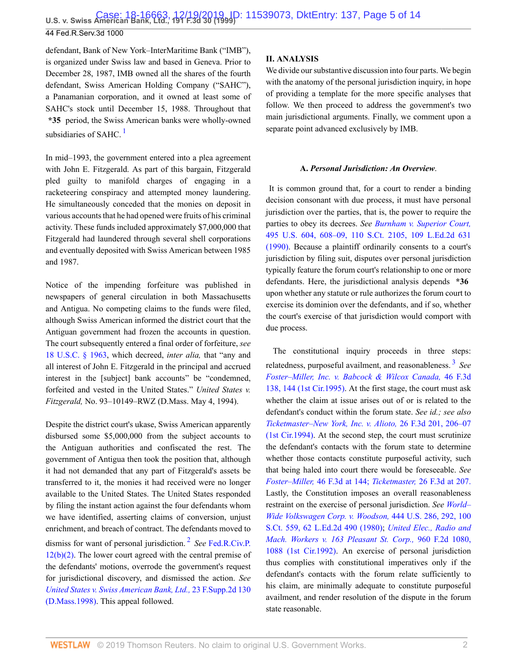**U.S. v. Swiss American Bank, Ltd., 191 F.3d 30 (1999)** Case: 18-16663, 12/19/2019, ID: 11539073, DktEntry: 137, Page 5 of 14

#### 44 Fed.R.Serv.3d 1000

defendant, Bank of New York–InterMaritime Bank ("IMB"), is organized under Swiss law and based in Geneva. Prior to December 28, 1987, IMB owned all the shares of the fourth defendant, Swiss American Holding Company ("SAHC"), a Panamanian corporation, and it owned at least some of SAHC's stock until December 15, 1988. Throughout that **\*35** period, the Swiss American banks were wholly-owned subsidiaries of SAHC.  $<sup>1</sup>$  $<sup>1</sup>$  $<sup>1</sup>$ </sup>

<span id="page-4-0"></span>In mid–1993, the government entered into a plea agreement with John E. Fitzgerald. As part of this bargain, Fitzgerald pled guilty to manifold charges of engaging in a racketeering conspiracy and attempted money laundering. He simultaneously conceded that the monies on deposit in various accounts that he had opened were fruits of his criminal activity. These funds included approximately \$7,000,000 that Fitzgerald had laundered through several shell corporations and eventually deposited with Swiss American between 1985 and 1987.

Notice of the impending forfeiture was published in newspapers of general circulation in both Massachusetts and Antigua. No competing claims to the funds were filed, although Swiss American informed the district court that the Antiguan government had frozen the accounts in question. The court subsequently entered a final order of forfeiture, *see* [18 U.S.C. § 1963,](http://www.westlaw.com/Link/Document/FullText?findType=L&pubNum=1000546&cite=18USCAS1963&originatingDoc=I4c1d5a4094af11d9a707f4371c9c34f0&refType=LQ&originationContext=document&vr=3.0&rs=cblt1.0&transitionType=DocumentItem&contextData=(sc.History*oc.Search)) which decreed, *inter alia,* that "any and all interest of John E. Fitzgerald in the principal and accrued interest in the [subject] bank accounts" be "condemned, forfeited and vested in the United States." *United States v. Fitzgerald,* No. 93–10149–RWZ (D.Mass. May 4, 1994).

<span id="page-4-1"></span>Despite the district court's ukase, Swiss American apparently disbursed some \$5,000,000 from the subject accounts to the Antiguan authorities and confiscated the rest. The government of Antigua then took the position that, although it had not demanded that any part of Fitzgerald's assets be transferred to it, the monies it had received were no longer available to the United States. The United States responded by filing the instant action against the four defendants whom we have identified, asserting claims of conversion, unjust enrichment, and breach of contract. The defendants moved to dismiss for want of personal jurisdiction. [2](#page-13-1) *See* [Fed.R.Civ.P.](http://www.westlaw.com/Link/Document/FullText?findType=L&pubNum=1004365&cite=USFRCPR12&originatingDoc=I4c1d5a4094af11d9a707f4371c9c34f0&refType=LQ&originationContext=document&vr=3.0&rs=cblt1.0&transitionType=DocumentItem&contextData=(sc.History*oc.Search)) [12\(b\)\(2\)](http://www.westlaw.com/Link/Document/FullText?findType=L&pubNum=1004365&cite=USFRCPR12&originatingDoc=I4c1d5a4094af11d9a707f4371c9c34f0&refType=LQ&originationContext=document&vr=3.0&rs=cblt1.0&transitionType=DocumentItem&contextData=(sc.History*oc.Search)). The lower court agreed with the central premise of the defendants' motions, overrode the government's request for jurisdictional discovery, and dismissed the action. *See [United States v. Swiss American Bank, Ltd.,](http://www.westlaw.com/Link/Document/FullText?findType=Y&serNum=1998204625&pubNum=4637&originatingDoc=I4c1d5a4094af11d9a707f4371c9c34f0&refType=RP&originationContext=document&vr=3.0&rs=cblt1.0&transitionType=DocumentItem&contextData=(sc.History*oc.Search))* 23 F.Supp.2d 130 [\(D.Mass.1998\).](http://www.westlaw.com/Link/Document/FullText?findType=Y&serNum=1998204625&pubNum=4637&originatingDoc=I4c1d5a4094af11d9a707f4371c9c34f0&refType=RP&originationContext=document&vr=3.0&rs=cblt1.0&transitionType=DocumentItem&contextData=(sc.History*oc.Search)) This appeal followed.

# **II. ANALYSIS**

We divide our substantive discussion into four parts. We begin with the anatomy of the personal jurisdiction inquiry, in hope of providing a template for the more specific analyses that follow. We then proceed to address the government's two main jurisdictional arguments. Finally, we comment upon a separate point advanced exclusively by IMB.

#### **A.** *Personal Jurisdiction: An Overview*.

 It is common ground that, for a court to render a binding decision consonant with due process, it must have personal jurisdiction over the parties, that is, the power to require the parties to obey its decrees. *See [Burnham v. Superior Court,](http://www.westlaw.com/Link/Document/FullText?findType=Y&serNum=1990084112&pubNum=708&originatingDoc=I4c1d5a4094af11d9a707f4371c9c34f0&refType=RP&originationContext=document&vr=3.0&rs=cblt1.0&transitionType=DocumentItem&contextData=(sc.History*oc.Search))* [495 U.S. 604, 608–09, 110 S.Ct. 2105, 109 L.Ed.2d 631](http://www.westlaw.com/Link/Document/FullText?findType=Y&serNum=1990084112&pubNum=708&originatingDoc=I4c1d5a4094af11d9a707f4371c9c34f0&refType=RP&originationContext=document&vr=3.0&rs=cblt1.0&transitionType=DocumentItem&contextData=(sc.History*oc.Search)) [\(1990\).](http://www.westlaw.com/Link/Document/FullText?findType=Y&serNum=1990084112&pubNum=708&originatingDoc=I4c1d5a4094af11d9a707f4371c9c34f0&refType=RP&originationContext=document&vr=3.0&rs=cblt1.0&transitionType=DocumentItem&contextData=(sc.History*oc.Search)) Because a plaintiff ordinarily consents to a court's jurisdiction by filing suit, disputes over personal jurisdiction typically feature the forum court's relationship to one or more defendants. Here, the jurisdictional analysis depends **\*36** upon whether any statute or rule authorizes the forum court to exercise its dominion over the defendants, and if so, whether the court's exercise of that jurisdiction would comport with due process.

<span id="page-4-2"></span> The constitutional inquiry proceeds in three steps: relatedness, purposeful availment, and reasonableness. [3](#page-13-2) *See [Foster–Miller, Inc. v. Babcock & Wilcox Canada,](http://www.westlaw.com/Link/Document/FullText?findType=Y&serNum=1995042307&pubNum=506&originatingDoc=I4c1d5a4094af11d9a707f4371c9c34f0&refType=RP&fi=co_pp_sp_506_144&originationContext=document&vr=3.0&rs=cblt1.0&transitionType=DocumentItem&contextData=(sc.History*oc.Search)#co_pp_sp_506_144)* 46 F.3d [138, 144 \(1st Cir.1995\)](http://www.westlaw.com/Link/Document/FullText?findType=Y&serNum=1995042307&pubNum=506&originatingDoc=I4c1d5a4094af11d9a707f4371c9c34f0&refType=RP&fi=co_pp_sp_506_144&originationContext=document&vr=3.0&rs=cblt1.0&transitionType=DocumentItem&contextData=(sc.History*oc.Search)#co_pp_sp_506_144). At the first stage, the court must ask whether the claim at issue arises out of or is related to the defendant's conduct within the forum state. *See id.; see also [Ticketmaster–New York, Inc. v. Alioto,](http://www.westlaw.com/Link/Document/FullText?findType=Y&serNum=1994079275&pubNum=506&originatingDoc=I4c1d5a4094af11d9a707f4371c9c34f0&refType=RP&fi=co_pp_sp_506_206&originationContext=document&vr=3.0&rs=cblt1.0&transitionType=DocumentItem&contextData=(sc.History*oc.Search)#co_pp_sp_506_206)* 26 F.3d 201, 206–07 [\(1st Cir.1994\)](http://www.westlaw.com/Link/Document/FullText?findType=Y&serNum=1994079275&pubNum=506&originatingDoc=I4c1d5a4094af11d9a707f4371c9c34f0&refType=RP&fi=co_pp_sp_506_206&originationContext=document&vr=3.0&rs=cblt1.0&transitionType=DocumentItem&contextData=(sc.History*oc.Search)#co_pp_sp_506_206). At the second step, the court must scrutinize the defendant's contacts with the forum state to determine whether those contacts constitute purposeful activity, such that being haled into court there would be foreseeable. *See Foster–Miller,* [46 F.3d at 144;](http://www.westlaw.com/Link/Document/FullText?findType=Y&serNum=1995042307&pubNum=506&originatingDoc=I4c1d5a4094af11d9a707f4371c9c34f0&refType=RP&fi=co_pp_sp_506_144&originationContext=document&vr=3.0&rs=cblt1.0&transitionType=DocumentItem&contextData=(sc.History*oc.Search)#co_pp_sp_506_144) *Ticketmaster,* [26 F.3d at 207.](http://www.westlaw.com/Link/Document/FullText?findType=Y&serNum=1994079275&pubNum=506&originatingDoc=I4c1d5a4094af11d9a707f4371c9c34f0&refType=RP&fi=co_pp_sp_506_207&originationContext=document&vr=3.0&rs=cblt1.0&transitionType=DocumentItem&contextData=(sc.History*oc.Search)#co_pp_sp_506_207) Lastly, the Constitution imposes an overall reasonableness restraint on the exercise of personal jurisdiction. *See [World–](http://www.westlaw.com/Link/Document/FullText?findType=Y&serNum=1980101293&pubNum=708&originatingDoc=I4c1d5a4094af11d9a707f4371c9c34f0&refType=RP&originationContext=document&vr=3.0&rs=cblt1.0&transitionType=DocumentItem&contextData=(sc.History*oc.Search)) [Wide Volkswagen Corp. v. Woodson,](http://www.westlaw.com/Link/Document/FullText?findType=Y&serNum=1980101293&pubNum=708&originatingDoc=I4c1d5a4094af11d9a707f4371c9c34f0&refType=RP&originationContext=document&vr=3.0&rs=cblt1.0&transitionType=DocumentItem&contextData=(sc.History*oc.Search))* 444 U.S. 286, 292, 100 [S.Ct. 559, 62 L.Ed.2d 490 \(1980\)](http://www.westlaw.com/Link/Document/FullText?findType=Y&serNum=1980101293&pubNum=708&originatingDoc=I4c1d5a4094af11d9a707f4371c9c34f0&refType=RP&originationContext=document&vr=3.0&rs=cblt1.0&transitionType=DocumentItem&contextData=(sc.History*oc.Search)); *[United Elec., Radio and](http://www.westlaw.com/Link/Document/FullText?findType=Y&serNum=1992067938&pubNum=350&originatingDoc=I4c1d5a4094af11d9a707f4371c9c34f0&refType=RP&fi=co_pp_sp_350_1088&originationContext=document&vr=3.0&rs=cblt1.0&transitionType=DocumentItem&contextData=(sc.History*oc.Search)#co_pp_sp_350_1088) [Mach. Workers v. 163 Pleasant St. Corp.,](http://www.westlaw.com/Link/Document/FullText?findType=Y&serNum=1992067938&pubNum=350&originatingDoc=I4c1d5a4094af11d9a707f4371c9c34f0&refType=RP&fi=co_pp_sp_350_1088&originationContext=document&vr=3.0&rs=cblt1.0&transitionType=DocumentItem&contextData=(sc.History*oc.Search)#co_pp_sp_350_1088)* 960 F.2d 1080, [1088 \(1st Cir.1992\).](http://www.westlaw.com/Link/Document/FullText?findType=Y&serNum=1992067938&pubNum=350&originatingDoc=I4c1d5a4094af11d9a707f4371c9c34f0&refType=RP&fi=co_pp_sp_350_1088&originationContext=document&vr=3.0&rs=cblt1.0&transitionType=DocumentItem&contextData=(sc.History*oc.Search)#co_pp_sp_350_1088) An exercise of personal jurisdiction thus complies with constitutional imperatives only if the defendant's contacts with the forum relate sufficiently to his claim, are minimally adequate to constitute purposeful availment, and render resolution of the dispute in the forum state reasonable.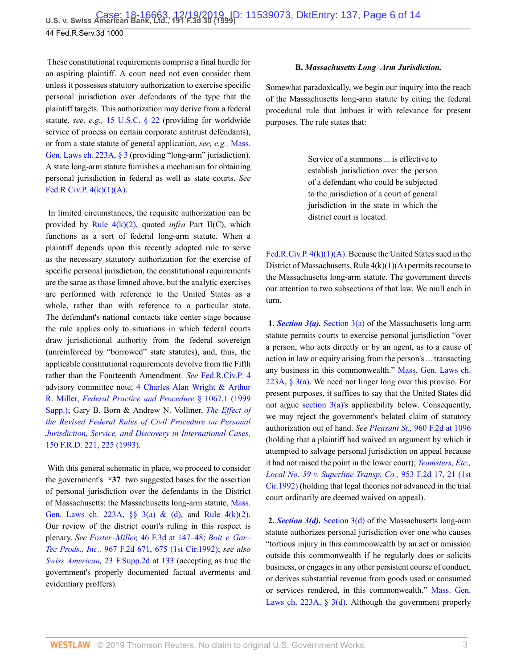These constitutional requirements comprise a final hurdle for an aspiring plaintiff. A court need not even consider them unless it possesses statutory authorization to exercise specific personal jurisdiction over defendants of the type that the plaintiff targets. This authorization may derive from a federal statute, *see, e.g.,* [15 U.S.C. § 22](http://www.westlaw.com/Link/Document/FullText?findType=L&pubNum=1000546&cite=15USCAS22&originatingDoc=I4c1d5a4094af11d9a707f4371c9c34f0&refType=LQ&originationContext=document&vr=3.0&rs=cblt1.0&transitionType=DocumentItem&contextData=(sc.History*oc.Search)) (providing for worldwide service of process on certain corporate antitrust defendants), or from a state statute of general application, *see, e.g.,* [Mass.](http://www.westlaw.com/Link/Document/FullText?findType=L&pubNum=1000042&cite=MAST223AS3&originatingDoc=I4c1d5a4094af11d9a707f4371c9c34f0&refType=LQ&originationContext=document&vr=3.0&rs=cblt1.0&transitionType=DocumentItem&contextData=(sc.History*oc.Search)) [Gen. Laws ch. 223A, § 3](http://www.westlaw.com/Link/Document/FullText?findType=L&pubNum=1000042&cite=MAST223AS3&originatingDoc=I4c1d5a4094af11d9a707f4371c9c34f0&refType=LQ&originationContext=document&vr=3.0&rs=cblt1.0&transitionType=DocumentItem&contextData=(sc.History*oc.Search)) (providing "long-arm" jurisdiction). A state long-arm statute furnishes a mechanism for obtaining personal jurisdiction in federal as well as state courts. *See* Fed.R.Civ.P.  $4(k)(1)(A)$ .

 In limited circumstances, the requisite authorization can be provided by [Rule 4\(k\)\(2\)](http://www.westlaw.com/Link/Document/FullText?findType=L&pubNum=1004365&cite=USFRCPR4&originatingDoc=I4c1d5a4094af11d9a707f4371c9c34f0&refType=LQ&originationContext=document&vr=3.0&rs=cblt1.0&transitionType=DocumentItem&contextData=(sc.History*oc.Search)), quoted *infra* Part II(C), which functions as a sort of federal long-arm statute. When a plaintiff depends upon this recently adopted rule to serve as the necessary statutory authorization for the exercise of specific personal jurisdiction, the constitutional requirements are the same as those limned above, but the analytic exercises are performed with reference to the United States as a whole, rather than with reference to a particular state. The defendant's national contacts take center stage because the rule applies only to situations in which federal courts draw jurisdictional authority from the federal sovereign (unreinforced by "borrowed" state statutes), and, thus, the applicable constitutional requirements devolve from the Fifth rather than the Fourteenth Amendment. *See* [Fed.R.Civ.P. 4](http://www.westlaw.com/Link/Document/FullText?findType=L&pubNum=1004365&cite=USFRCPR4&originatingDoc=I4c1d5a4094af11d9a707f4371c9c34f0&refType=LQ&originationContext=document&vr=3.0&rs=cblt1.0&transitionType=DocumentItem&contextData=(sc.History*oc.Search)) advisory committee note; [4 Charles Alan Wright & Arthur](http://www.westlaw.com/Link/Document/FullText?findType=Y&serNum=0104502930&pubNum=0102228&originatingDoc=I4c1d5a4094af11d9a707f4371c9c34f0&refType=TS&originationContext=document&vr=3.0&rs=cblt1.0&transitionType=DocumentItem&contextData=(sc.History*oc.Search)) R. Miller, *[Federal Practice and Procedure](http://www.westlaw.com/Link/Document/FullText?findType=Y&serNum=0104502930&pubNum=0102228&originatingDoc=I4c1d5a4094af11d9a707f4371c9c34f0&refType=TS&originationContext=document&vr=3.0&rs=cblt1.0&transitionType=DocumentItem&contextData=(sc.History*oc.Search))* § 1067.1 (1999 [Supp.\)](http://www.westlaw.com/Link/Document/FullText?findType=Y&serNum=0104502930&pubNum=0102228&originatingDoc=I4c1d5a4094af11d9a707f4371c9c34f0&refType=TS&originationContext=document&vr=3.0&rs=cblt1.0&transitionType=DocumentItem&contextData=(sc.History*oc.Search)); Gary B. Born & Andrew N. Vollmer, *[The Effect of](http://www.westlaw.com/Link/Document/FullText?findType=Y&serNum=0105020511&pubNum=344&originatingDoc=I4c1d5a4094af11d9a707f4371c9c34f0&refType=LR&fi=co_pp_sp_344_225&originationContext=document&vr=3.0&rs=cblt1.0&transitionType=DocumentItem&contextData=(sc.History*oc.Search)#co_pp_sp_344_225) [the Revised Federal Rules of Civil Procedure on Personal](http://www.westlaw.com/Link/Document/FullText?findType=Y&serNum=0105020511&pubNum=344&originatingDoc=I4c1d5a4094af11d9a707f4371c9c34f0&refType=LR&fi=co_pp_sp_344_225&originationContext=document&vr=3.0&rs=cblt1.0&transitionType=DocumentItem&contextData=(sc.History*oc.Search)#co_pp_sp_344_225) [Jurisdiction, Service, and Discovery in International Cases,](http://www.westlaw.com/Link/Document/FullText?findType=Y&serNum=0105020511&pubNum=344&originatingDoc=I4c1d5a4094af11d9a707f4371c9c34f0&refType=LR&fi=co_pp_sp_344_225&originationContext=document&vr=3.0&rs=cblt1.0&transitionType=DocumentItem&contextData=(sc.History*oc.Search)#co_pp_sp_344_225)* [150 F.R.D. 221, 225 \(1993\)](http://www.westlaw.com/Link/Document/FullText?findType=Y&serNum=0105020511&pubNum=344&originatingDoc=I4c1d5a4094af11d9a707f4371c9c34f0&refType=LR&fi=co_pp_sp_344_225&originationContext=document&vr=3.0&rs=cblt1.0&transitionType=DocumentItem&contextData=(sc.History*oc.Search)#co_pp_sp_344_225).

 With this general schematic in place, we proceed to consider the government's **\*37** two suggested bases for the assertion of personal jurisdiction over the defendants in the District of Massachusetts: the Massachusetts long-arm statute, [Mass.](http://www.westlaw.com/Link/Document/FullText?findType=L&pubNum=1000042&cite=MAST223AS3&originatingDoc=I4c1d5a4094af11d9a707f4371c9c34f0&refType=SP&originationContext=document&vr=3.0&rs=cblt1.0&transitionType=DocumentItem&contextData=(sc.History*oc.Search)#co_pp_8b3b0000958a4) [Gen. Laws ch. 223A, §§ 3\(a\) & \(d\)](http://www.westlaw.com/Link/Document/FullText?findType=L&pubNum=1000042&cite=MAST223AS3&originatingDoc=I4c1d5a4094af11d9a707f4371c9c34f0&refType=SP&originationContext=document&vr=3.0&rs=cblt1.0&transitionType=DocumentItem&contextData=(sc.History*oc.Search)#co_pp_8b3b0000958a4), and [Rule 4\(k\)\(2\)](http://www.westlaw.com/Link/Document/FullText?findType=L&pubNum=1004365&cite=USFRCPR4&originatingDoc=I4c1d5a4094af11d9a707f4371c9c34f0&refType=LQ&originationContext=document&vr=3.0&rs=cblt1.0&transitionType=DocumentItem&contextData=(sc.History*oc.Search)). Our review of the district court's ruling in this respect is plenary. *See Foster–Miller,* [46 F.3d at 147–48;](http://www.westlaw.com/Link/Document/FullText?findType=Y&serNum=1995042307&pubNum=506&originatingDoc=I4c1d5a4094af11d9a707f4371c9c34f0&refType=RP&fi=co_pp_sp_506_147&originationContext=document&vr=3.0&rs=cblt1.0&transitionType=DocumentItem&contextData=(sc.History*oc.Search)#co_pp_sp_506_147) *[Boit v. Gar–](http://www.westlaw.com/Link/Document/FullText?findType=Y&serNum=1992103055&pubNum=350&originatingDoc=I4c1d5a4094af11d9a707f4371c9c34f0&refType=RP&fi=co_pp_sp_350_675&originationContext=document&vr=3.0&rs=cblt1.0&transitionType=DocumentItem&contextData=(sc.History*oc.Search)#co_pp_sp_350_675) Tec Prods., Inc.,* [967 F.2d 671, 675 \(1st Cir.1992\)](http://www.westlaw.com/Link/Document/FullText?findType=Y&serNum=1992103055&pubNum=350&originatingDoc=I4c1d5a4094af11d9a707f4371c9c34f0&refType=RP&fi=co_pp_sp_350_675&originationContext=document&vr=3.0&rs=cblt1.0&transitionType=DocumentItem&contextData=(sc.History*oc.Search)#co_pp_sp_350_675); *see also Swiss American,* [23 F.Supp.2d at 133](http://www.westlaw.com/Link/Document/FullText?findType=Y&serNum=1998204625&pubNum=4637&originatingDoc=I4c1d5a4094af11d9a707f4371c9c34f0&refType=RP&fi=co_pp_sp_4637_133&originationContext=document&vr=3.0&rs=cblt1.0&transitionType=DocumentItem&contextData=(sc.History*oc.Search)#co_pp_sp_4637_133) (accepting as true the government's properly documented factual averments and evidentiary proffers).

#### **B.** *Massachusetts Long–Arm Jurisdiction.*

Somewhat paradoxically, we begin our inquiry into the reach of the Massachusetts long-arm statute by citing the federal procedural rule that imbues it with relevance for present purposes. The rule states that:

> Service of a summons ... is effective to establish jurisdiction over the person of a defendant who could be subjected to the jurisdiction of a court of general jurisdiction in the state in which the district court is located.

[Fed.R.Civ.P. 4\(k\)\(1\)\(A\).](http://www.westlaw.com/Link/Document/FullText?findType=L&pubNum=1004365&cite=USFRCPR4&originatingDoc=I4c1d5a4094af11d9a707f4371c9c34f0&refType=LQ&originationContext=document&vr=3.0&rs=cblt1.0&transitionType=DocumentItem&contextData=(sc.History*oc.Search)) Because the United States sued in the District of Massachusetts, Rule 4(k)(1)(A) permits recourse to the Massachusetts long-arm statute. The government directs our attention to two subsections of that law. We mull each in turn.

**1.** *[Section 3\(a\).](http://www.westlaw.com/Link/Document/FullText?findType=L&pubNum=1000042&cite=MAST223AS3&originatingDoc=I4c1d5a4094af11d9a707f4371c9c34f0&refType=SP&originationContext=document&vr=3.0&rs=cblt1.0&transitionType=DocumentItem&contextData=(sc.History*oc.Search)#co_pp_8b3b0000958a4)* [Section 3\(a\)](http://www.westlaw.com/Link/Document/FullText?findType=L&pubNum=1000042&cite=MAST223AS3&originatingDoc=I4c1d5a4094af11d9a707f4371c9c34f0&refType=LQ&originationContext=document&vr=3.0&rs=cblt1.0&transitionType=DocumentItem&contextData=(sc.History*oc.Search)) of the Massachusetts long-arm statute permits courts to exercise personal jurisdiction "over a person, who acts directly or by an agent, as to a cause of action in law or equity arising from the person's ... transacting any business in this commonwealth." [Mass. Gen. Laws ch.](http://www.westlaw.com/Link/Document/FullText?findType=L&pubNum=1000042&cite=MAST223AS3&originatingDoc=I4c1d5a4094af11d9a707f4371c9c34f0&refType=SP&originationContext=document&vr=3.0&rs=cblt1.0&transitionType=DocumentItem&contextData=(sc.History*oc.Search)#co_pp_8b3b0000958a4) [223A, § 3\(a\)](http://www.westlaw.com/Link/Document/FullText?findType=L&pubNum=1000042&cite=MAST223AS3&originatingDoc=I4c1d5a4094af11d9a707f4371c9c34f0&refType=SP&originationContext=document&vr=3.0&rs=cblt1.0&transitionType=DocumentItem&contextData=(sc.History*oc.Search)#co_pp_8b3b0000958a4). We need not linger long over this proviso. For present purposes, it suffices to say that the United States did not argue [section 3\(a\)](http://www.westlaw.com/Link/Document/FullText?findType=L&pubNum=1000042&cite=MAST223AS3&originatingDoc=I4c1d5a4094af11d9a707f4371c9c34f0&refType=SP&originationContext=document&vr=3.0&rs=cblt1.0&transitionType=DocumentItem&contextData=(sc.History*oc.Search)#co_pp_8b3b0000958a4)'s applicability below. Consequently, we may reject the government's belated claim of statutory authorization out of hand. *See Pleasant St.,* [960 F.2d at 1096](http://www.westlaw.com/Link/Document/FullText?findType=Y&serNum=1992067938&pubNum=350&originatingDoc=I4c1d5a4094af11d9a707f4371c9c34f0&refType=RP&fi=co_pp_sp_350_1096&originationContext=document&vr=3.0&rs=cblt1.0&transitionType=DocumentItem&contextData=(sc.History*oc.Search)#co_pp_sp_350_1096) (holding that a plaintiff had waived an argument by which it attempted to salvage personal jurisdiction on appeal because it had not raised the point in the lower court); *[Teamsters, Etc.,](http://www.westlaw.com/Link/Document/FullText?findType=Y&serNum=1992019328&pubNum=350&originatingDoc=I4c1d5a4094af11d9a707f4371c9c34f0&refType=RP&fi=co_pp_sp_350_21&originationContext=document&vr=3.0&rs=cblt1.0&transitionType=DocumentItem&contextData=(sc.History*oc.Search)#co_pp_sp_350_21) [Local No. 59 v. Superline Transp. Co.,](http://www.westlaw.com/Link/Document/FullText?findType=Y&serNum=1992019328&pubNum=350&originatingDoc=I4c1d5a4094af11d9a707f4371c9c34f0&refType=RP&fi=co_pp_sp_350_21&originationContext=document&vr=3.0&rs=cblt1.0&transitionType=DocumentItem&contextData=(sc.History*oc.Search)#co_pp_sp_350_21)* 953 F.2d 17, 21 (1st [Cir.1992\)](http://www.westlaw.com/Link/Document/FullText?findType=Y&serNum=1992019328&pubNum=350&originatingDoc=I4c1d5a4094af11d9a707f4371c9c34f0&refType=RP&fi=co_pp_sp_350_21&originationContext=document&vr=3.0&rs=cblt1.0&transitionType=DocumentItem&contextData=(sc.History*oc.Search)#co_pp_sp_350_21) (holding that legal theories not advanced in the trial court ordinarily are deemed waived on appeal).

**2.** *[Section 3\(d\).](http://www.westlaw.com/Link/Document/FullText?findType=L&pubNum=1000042&cite=MAST223AS3&originatingDoc=I4c1d5a4094af11d9a707f4371c9c34f0&refType=LQ&originationContext=document&vr=3.0&rs=cblt1.0&transitionType=DocumentItem&contextData=(sc.History*oc.Search))* [Section 3\(d\)](http://www.westlaw.com/Link/Document/FullText?findType=L&pubNum=1000042&cite=MAST223AS3&originatingDoc=I4c1d5a4094af11d9a707f4371c9c34f0&refType=LQ&originationContext=document&vr=3.0&rs=cblt1.0&transitionType=DocumentItem&contextData=(sc.History*oc.Search)) of the Massachusetts long-arm statute authorizes personal jurisdiction over one who causes "tortious injury in this commonwealth by an act or omission outside this commonwealth if he regularly does or solicits business, or engages in any other persistent course of conduct, or derives substantial revenue from goods used or consumed or services rendered, in this commonwealth." [Mass. Gen.](http://www.westlaw.com/Link/Document/FullText?findType=L&pubNum=1000042&cite=MAST223AS3&originatingDoc=I4c1d5a4094af11d9a707f4371c9c34f0&refType=LQ&originationContext=document&vr=3.0&rs=cblt1.0&transitionType=DocumentItem&contextData=(sc.History*oc.Search)) [Laws ch. 223A, § 3\(d\)](http://www.westlaw.com/Link/Document/FullText?findType=L&pubNum=1000042&cite=MAST223AS3&originatingDoc=I4c1d5a4094af11d9a707f4371c9c34f0&refType=LQ&originationContext=document&vr=3.0&rs=cblt1.0&transitionType=DocumentItem&contextData=(sc.History*oc.Search)). Although the government properly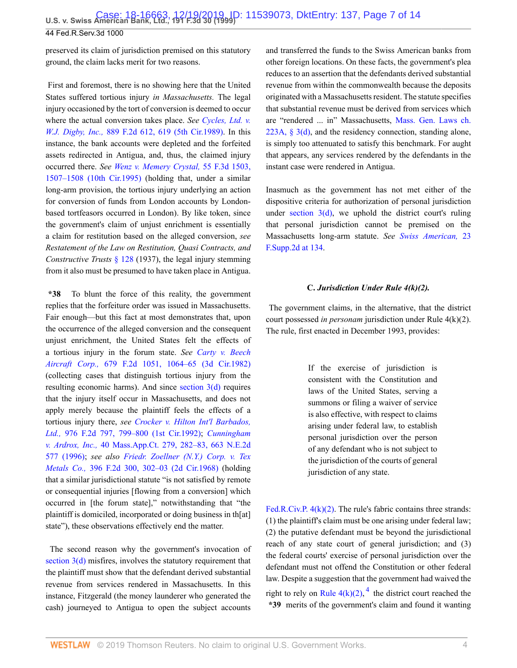preserved its claim of jurisdiction premised on this statutory ground, the claim lacks merit for two reasons.

 First and foremost, there is no showing here that the United States suffered tortious injury *in Massachusetts.* The legal injury occasioned by the tort of conversion is deemed to occur where the actual conversion takes place. *See [Cycles, Ltd. v.](http://www.westlaw.com/Link/Document/FullText?findType=Y&serNum=1989164522&pubNum=350&originatingDoc=I4c1d5a4094af11d9a707f4371c9c34f0&refType=RP&fi=co_pp_sp_350_619&originationContext=document&vr=3.0&rs=cblt1.0&transitionType=DocumentItem&contextData=(sc.History*oc.Search)#co_pp_sp_350_619) W.J. Digby, Inc.,* [889 F.2d 612, 619 \(5th Cir.1989\)](http://www.westlaw.com/Link/Document/FullText?findType=Y&serNum=1989164522&pubNum=350&originatingDoc=I4c1d5a4094af11d9a707f4371c9c34f0&refType=RP&fi=co_pp_sp_350_619&originationContext=document&vr=3.0&rs=cblt1.0&transitionType=DocumentItem&contextData=(sc.History*oc.Search)#co_pp_sp_350_619). In this instance, the bank accounts were depleted and the forfeited assets redirected in Antigua, and, thus, the claimed injury occurred there. *See [Wenz v. Memery Crystal,](http://www.westlaw.com/Link/Document/FullText?findType=Y&serNum=1995119366&pubNum=506&originatingDoc=I4c1d5a4094af11d9a707f4371c9c34f0&refType=RP&fi=co_pp_sp_506_1507&originationContext=document&vr=3.0&rs=cblt1.0&transitionType=DocumentItem&contextData=(sc.History*oc.Search)#co_pp_sp_506_1507)* 55 F.3d 1503, [1507–1508 \(10th Cir.1995\)](http://www.westlaw.com/Link/Document/FullText?findType=Y&serNum=1995119366&pubNum=506&originatingDoc=I4c1d5a4094af11d9a707f4371c9c34f0&refType=RP&fi=co_pp_sp_506_1507&originationContext=document&vr=3.0&rs=cblt1.0&transitionType=DocumentItem&contextData=(sc.History*oc.Search)#co_pp_sp_506_1507) (holding that, under a similar long-arm provision, the tortious injury underlying an action for conversion of funds from London accounts by Londonbased tortfeasors occurred in London). By like token, since the government's claim of unjust enrichment is essentially a claim for restitution based on the alleged conversion, *see Restatement of the Law on Restitution, Quasi Contracts, and Constructive Trusts* [§ 128](http://www.westlaw.com/Link/Document/FullText?findType=Y&serNum=0290373893&pubNum=0101585&originatingDoc=I4c1d5a4094af11d9a707f4371c9c34f0&refType=TS&originationContext=document&vr=3.0&rs=cblt1.0&transitionType=DocumentItem&contextData=(sc.History*oc.Search)) (1937), the legal injury stemming from it also must be presumed to have taken place in Antigua.

**\*38** To blunt the force of this reality, the government replies that the forfeiture order was issued in Massachusetts. Fair enough—but this fact at most demonstrates that, upon the occurrence of the alleged conversion and the consequent unjust enrichment, the United States felt the effects of a tortious injury in the forum state. *See [Carty v. Beech](http://www.westlaw.com/Link/Document/FullText?findType=Y&serNum=1982123274&pubNum=350&originatingDoc=I4c1d5a4094af11d9a707f4371c9c34f0&refType=RP&fi=co_pp_sp_350_1064&originationContext=document&vr=3.0&rs=cblt1.0&transitionType=DocumentItem&contextData=(sc.History*oc.Search)#co_pp_sp_350_1064) Aircraft Corp.,* [679 F.2d 1051, 1064–65 \(3d Cir.1982\)](http://www.westlaw.com/Link/Document/FullText?findType=Y&serNum=1982123274&pubNum=350&originatingDoc=I4c1d5a4094af11d9a707f4371c9c34f0&refType=RP&fi=co_pp_sp_350_1064&originationContext=document&vr=3.0&rs=cblt1.0&transitionType=DocumentItem&contextData=(sc.History*oc.Search)#co_pp_sp_350_1064) (collecting cases that distinguish tortious injury from the resulting economic harms). And since [section 3\(d\)](http://www.westlaw.com/Link/Document/FullText?findType=L&pubNum=1000042&cite=MAST223AS3&originatingDoc=I4c1d5a4094af11d9a707f4371c9c34f0&refType=LQ&originationContext=document&vr=3.0&rs=cblt1.0&transitionType=DocumentItem&contextData=(sc.History*oc.Search)) requires that the injury itself occur in Massachusetts, and does not apply merely because the plaintiff feels the effects of a tortious injury there, *see [Crocker v. Hilton Int'l Barbados,](http://www.westlaw.com/Link/Document/FullText?findType=Y&serNum=1992174349&pubNum=350&originatingDoc=I4c1d5a4094af11d9a707f4371c9c34f0&refType=RP&fi=co_pp_sp_350_799&originationContext=document&vr=3.0&rs=cblt1.0&transitionType=DocumentItem&contextData=(sc.History*oc.Search)#co_pp_sp_350_799) Ltd.,* [976 F.2d 797, 799–800 \(1st Cir.1992\);](http://www.westlaw.com/Link/Document/FullText?findType=Y&serNum=1992174349&pubNum=350&originatingDoc=I4c1d5a4094af11d9a707f4371c9c34f0&refType=RP&fi=co_pp_sp_350_799&originationContext=document&vr=3.0&rs=cblt1.0&transitionType=DocumentItem&contextData=(sc.History*oc.Search)#co_pp_sp_350_799) *[Cunningham](http://www.westlaw.com/Link/Document/FullText?findType=Y&serNum=1996093076&pubNum=578&originatingDoc=I4c1d5a4094af11d9a707f4371c9c34f0&refType=RP&originationContext=document&vr=3.0&rs=cblt1.0&transitionType=DocumentItem&contextData=(sc.History*oc.Search)) v. Ardrox, Inc.,* [40 Mass.App.Ct. 279, 282–83, 663 N.E.2d](http://www.westlaw.com/Link/Document/FullText?findType=Y&serNum=1996093076&pubNum=578&originatingDoc=I4c1d5a4094af11d9a707f4371c9c34f0&refType=RP&originationContext=document&vr=3.0&rs=cblt1.0&transitionType=DocumentItem&contextData=(sc.History*oc.Search)) [577 \(1996\)](http://www.westlaw.com/Link/Document/FullText?findType=Y&serNum=1996093076&pubNum=578&originatingDoc=I4c1d5a4094af11d9a707f4371c9c34f0&refType=RP&originationContext=document&vr=3.0&rs=cblt1.0&transitionType=DocumentItem&contextData=(sc.History*oc.Search)); *see also [Friedr. Zoellner \(N.Y.\) Corp. v. Tex](http://www.westlaw.com/Link/Document/FullText?findType=Y&serNum=1968117995&pubNum=350&originatingDoc=I4c1d5a4094af11d9a707f4371c9c34f0&refType=RP&fi=co_pp_sp_350_302&originationContext=document&vr=3.0&rs=cblt1.0&transitionType=DocumentItem&contextData=(sc.History*oc.Search)#co_pp_sp_350_302) Metals Co.,* [396 F.2d 300, 302–03 \(2d Cir.1968\)](http://www.westlaw.com/Link/Document/FullText?findType=Y&serNum=1968117995&pubNum=350&originatingDoc=I4c1d5a4094af11d9a707f4371c9c34f0&refType=RP&fi=co_pp_sp_350_302&originationContext=document&vr=3.0&rs=cblt1.0&transitionType=DocumentItem&contextData=(sc.History*oc.Search)#co_pp_sp_350_302) (holding that a similar jurisdictional statute "is not satisfied by remote or consequential injuries [flowing from a conversion] which occurred in [the forum state]," notwithstanding that "the plaintiff is domiciled, incorporated or doing business in th[at] state"), these observations effectively end the matter.

 The second reason why the government's invocation of [section 3\(d\)](http://www.westlaw.com/Link/Document/FullText?findType=L&pubNum=1000042&cite=MAST223AS3&originatingDoc=I4c1d5a4094af11d9a707f4371c9c34f0&refType=LQ&originationContext=document&vr=3.0&rs=cblt1.0&transitionType=DocumentItem&contextData=(sc.History*oc.Search)) misfires, involves the statutory requirement that the plaintiff must show that the defendant derived substantial revenue from services rendered in Massachusetts. In this instance, Fitzgerald (the money launderer who generated the cash) journeyed to Antigua to open the subject accounts

and transferred the funds to the Swiss American banks from other foreign locations. On these facts, the government's plea reduces to an assertion that the defendants derived substantial revenue from within the commonwealth because the deposits originated with a Massachusetts resident. The statute specifies that substantial revenue must be derived from services which are "rendered ... in" Massachusetts, [Mass. Gen. Laws ch.](http://www.westlaw.com/Link/Document/FullText?findType=L&pubNum=1000042&cite=MAST223AS3&originatingDoc=I4c1d5a4094af11d9a707f4371c9c34f0&refType=LQ&originationContext=document&vr=3.0&rs=cblt1.0&transitionType=DocumentItem&contextData=(sc.History*oc.Search)) [223A, § 3\(d\),](http://www.westlaw.com/Link/Document/FullText?findType=L&pubNum=1000042&cite=MAST223AS3&originatingDoc=I4c1d5a4094af11d9a707f4371c9c34f0&refType=LQ&originationContext=document&vr=3.0&rs=cblt1.0&transitionType=DocumentItem&contextData=(sc.History*oc.Search)) and the residency connection, standing alone, is simply too attenuated to satisfy this benchmark. For aught that appears, any services rendered by the defendants in the instant case were rendered in Antigua.

Inasmuch as the government has not met either of the dispositive criteria for authorization of personal jurisdiction under section  $3(d)$ , we uphold the district court's ruling that personal jurisdiction cannot be premised on the Massachusetts long-arm statute. *See [Swiss American,](http://www.westlaw.com/Link/Document/FullText?findType=Y&serNum=1998204625&pubNum=4637&originatingDoc=I4c1d5a4094af11d9a707f4371c9c34f0&refType=RP&fi=co_pp_sp_4637_134&originationContext=document&vr=3.0&rs=cblt1.0&transitionType=DocumentItem&contextData=(sc.History*oc.Search)#co_pp_sp_4637_134)* 23 [F.Supp.2d at 134.](http://www.westlaw.com/Link/Document/FullText?findType=Y&serNum=1998204625&pubNum=4637&originatingDoc=I4c1d5a4094af11d9a707f4371c9c34f0&refType=RP&fi=co_pp_sp_4637_134&originationContext=document&vr=3.0&rs=cblt1.0&transitionType=DocumentItem&contextData=(sc.History*oc.Search)#co_pp_sp_4637_134)

#### **C.** *Jurisdiction Under Rule 4(k)(2).*

 The government claims, in the alternative, that the district court possessed *in personam* jurisdiction under Rule 4(k)(2). The rule, first enacted in December 1993, provides:

> If the exercise of jurisdiction is consistent with the Constitution and laws of the United States, serving a summons or filing a waiver of service is also effective, with respect to claims arising under federal law, to establish personal jurisdiction over the person of any defendant who is not subject to the jurisdiction of the courts of general jurisdiction of any state.

<span id="page-6-0"></span>Fed.R.Civ.P.  $4(k)(2)$ . The rule's fabric contains three strands: (1) the plaintiff's claim must be one arising under federal law; (2) the putative defendant must be beyond the jurisdictional reach of any state court of general jurisdiction; and (3) the federal courts' exercise of personal jurisdiction over the defendant must not offend the Constitution or other federal law. Despite a suggestion that the government had waived the right to rely on Rule  $4(k)(2)$  $4(k)(2)$ , <sup>4</sup> the district court reached the **\*39** merits of the government's claim and found it wanting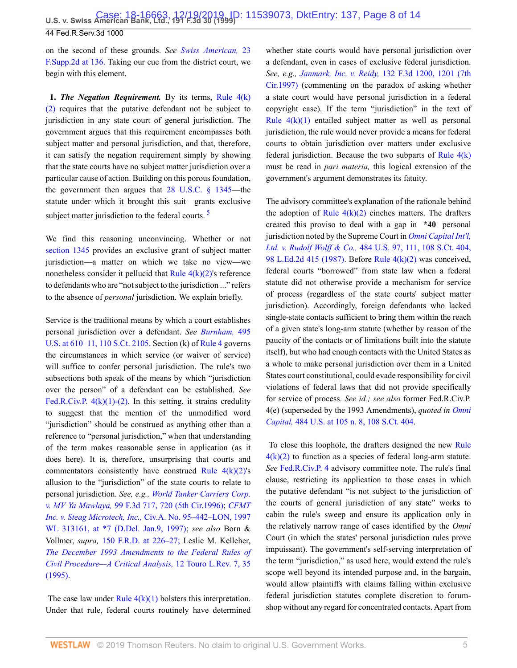on the second of these grounds. *See [Swiss American,](http://www.westlaw.com/Link/Document/FullText?findType=Y&serNum=1998204625&pubNum=4637&originatingDoc=I4c1d5a4094af11d9a707f4371c9c34f0&refType=RP&fi=co_pp_sp_4637_136&originationContext=document&vr=3.0&rs=cblt1.0&transitionType=DocumentItem&contextData=(sc.History*oc.Search)#co_pp_sp_4637_136)* 23 [F.Supp.2d at 136.](http://www.westlaw.com/Link/Document/FullText?findType=Y&serNum=1998204625&pubNum=4637&originatingDoc=I4c1d5a4094af11d9a707f4371c9c34f0&refType=RP&fi=co_pp_sp_4637_136&originationContext=document&vr=3.0&rs=cblt1.0&transitionType=DocumentItem&contextData=(sc.History*oc.Search)#co_pp_sp_4637_136) Taking our cue from the district court, we begin with this element.

**1.** *The Negation Requirement.* By its terms, [Rule 4\(k\)](http://www.westlaw.com/Link/Document/FullText?findType=L&pubNum=1004365&cite=USFRCPR4&originatingDoc=I4c1d5a4094af11d9a707f4371c9c34f0&refType=LQ&originationContext=document&vr=3.0&rs=cblt1.0&transitionType=DocumentItem&contextData=(sc.History*oc.Search)) [\(2\)](http://www.westlaw.com/Link/Document/FullText?findType=L&pubNum=1004365&cite=USFRCPR4&originatingDoc=I4c1d5a4094af11d9a707f4371c9c34f0&refType=LQ&originationContext=document&vr=3.0&rs=cblt1.0&transitionType=DocumentItem&contextData=(sc.History*oc.Search)) requires that the putative defendant not be subject to jurisdiction in any state court of general jurisdiction. The government argues that this requirement encompasses both subject matter and personal jurisdiction, and that, therefore, it can satisfy the negation requirement simply by showing that the state courts have no subject matter jurisdiction over a particular cause of action. Building on this porous foundation, the government then argues that [28 U.S.C. § 1345—](http://www.westlaw.com/Link/Document/FullText?findType=L&pubNum=1000546&cite=28USCAS1345&originatingDoc=I4c1d5a4094af11d9a707f4371c9c34f0&refType=LQ&originationContext=document&vr=3.0&rs=cblt1.0&transitionType=DocumentItem&contextData=(sc.History*oc.Search))the statute under which it brought this suit—grants exclusive subject matter jurisdiction to the federal courts.  $\frac{5}{2}$  $\frac{5}{2}$  $\frac{5}{2}$ 

We find this reasoning unconvincing. Whether or not [section 1345](http://www.westlaw.com/Link/Document/FullText?findType=L&pubNum=1000546&cite=28USCAS1345&originatingDoc=I4c1d5a4094af11d9a707f4371c9c34f0&refType=LQ&originationContext=document&vr=3.0&rs=cblt1.0&transitionType=DocumentItem&contextData=(sc.History*oc.Search)) provides an exclusive grant of subject matter jurisdiction—a matter on which we take no view—we nonetheless consider it pellucid that Rule  $4(k)(2)$ 's reference to defendants who are "not subject to the jurisdiction ..." refers to the absence of *personal* jurisdiction. We explain briefly.

Service is the traditional means by which a court establishes personal jurisdiction over a defendant. *See [Burnham,](http://www.westlaw.com/Link/Document/FullText?findType=Y&serNum=1990084112&pubNum=708&originatingDoc=I4c1d5a4094af11d9a707f4371c9c34f0&refType=RP&originationContext=document&vr=3.0&rs=cblt1.0&transitionType=DocumentItem&contextData=(sc.History*oc.Search))* 495 [U.S. at 610–11, 110 S.Ct. 2105.](http://www.westlaw.com/Link/Document/FullText?findType=Y&serNum=1990084112&pubNum=708&originatingDoc=I4c1d5a4094af11d9a707f4371c9c34f0&refType=RP&originationContext=document&vr=3.0&rs=cblt1.0&transitionType=DocumentItem&contextData=(sc.History*oc.Search)) Section (k) of [Rule 4](http://www.westlaw.com/Link/Document/FullText?findType=L&pubNum=1004365&cite=USFRCPR4&originatingDoc=I4c1d5a4094af11d9a707f4371c9c34f0&refType=LQ&originationContext=document&vr=3.0&rs=cblt1.0&transitionType=DocumentItem&contextData=(sc.History*oc.Search)) governs the circumstances in which service (or waiver of service) will suffice to confer personal jurisdiction. The rule's two subsections both speak of the means by which "jurisdiction over the person" of a defendant can be established. *See* Fed.R.Civ.P.  $4(k)(1)-(2)$ . In this setting, it strains credulity to suggest that the mention of the unmodified word "jurisdiction" should be construed as anything other than a reference to "personal jurisdiction," when that understanding of the term makes reasonable sense in application (as it does here). It is, therefore, unsurprising that courts and commentators consistently have construed Rule  $4(k)(2)$ 's allusion to the "jurisdiction" of the state courts to relate to personal jurisdiction. *See, e.g., [World Tanker Carriers Corp.](http://www.westlaw.com/Link/Document/FullText?findType=Y&serNum=1996243346&pubNum=506&originatingDoc=I4c1d5a4094af11d9a707f4371c9c34f0&refType=RP&fi=co_pp_sp_506_720&originationContext=document&vr=3.0&rs=cblt1.0&transitionType=DocumentItem&contextData=(sc.History*oc.Search)#co_pp_sp_506_720) v. MV Ya Mawlaya,* [99 F.3d 717, 720 \(5th Cir.1996\);](http://www.westlaw.com/Link/Document/FullText?findType=Y&serNum=1996243346&pubNum=506&originatingDoc=I4c1d5a4094af11d9a707f4371c9c34f0&refType=RP&fi=co_pp_sp_506_720&originationContext=document&vr=3.0&rs=cblt1.0&transitionType=DocumentItem&contextData=(sc.History*oc.Search)#co_pp_sp_506_720) *[CFMT](http://www.westlaw.com/Link/Document/FullText?findType=Y&serNum=1997125906&pubNum=0000999&originatingDoc=I4c1d5a4094af11d9a707f4371c9c34f0&refType=RP&originationContext=document&vr=3.0&rs=cblt1.0&transitionType=DocumentItem&contextData=(sc.History*oc.Search)) Inc. v. Steag Microtech, Inc.,* [Civ.A. No. 95–442–LON, 1997](http://www.westlaw.com/Link/Document/FullText?findType=Y&serNum=1997125906&pubNum=0000999&originatingDoc=I4c1d5a4094af11d9a707f4371c9c34f0&refType=RP&originationContext=document&vr=3.0&rs=cblt1.0&transitionType=DocumentItem&contextData=(sc.History*oc.Search)) [WL 313161, at \\*7 \(D.Del. Jan.9, 1997\);](http://www.westlaw.com/Link/Document/FullText?findType=Y&serNum=1997125906&pubNum=0000999&originatingDoc=I4c1d5a4094af11d9a707f4371c9c34f0&refType=RP&originationContext=document&vr=3.0&rs=cblt1.0&transitionType=DocumentItem&contextData=(sc.History*oc.Search)) *see also* Born & Vollmer, *supra,* [150 F.R.D. at 226–27;](http://www.westlaw.com/Link/Document/FullText?findType=Y&serNum=1993150231&pubNum=344&originatingDoc=I4c1d5a4094af11d9a707f4371c9c34f0&refType=LR&fi=co_pp_sp_344_226&originationContext=document&vr=3.0&rs=cblt1.0&transitionType=DocumentItem&contextData=(sc.History*oc.Search)#co_pp_sp_344_226) Leslie M. Kelleher, *[The December 1993 Amendments to the Federal Rules of](http://www.westlaw.com/Link/Document/FullText?findType=Y&serNum=0106428379&pubNum=1628&originatingDoc=I4c1d5a4094af11d9a707f4371c9c34f0&refType=LR&fi=co_pp_sp_1628_35&originationContext=document&vr=3.0&rs=cblt1.0&transitionType=DocumentItem&contextData=(sc.History*oc.Search)#co_pp_sp_1628_35) [Civil Procedure—A Critical Analysis,](http://www.westlaw.com/Link/Document/FullText?findType=Y&serNum=0106428379&pubNum=1628&originatingDoc=I4c1d5a4094af11d9a707f4371c9c34f0&refType=LR&fi=co_pp_sp_1628_35&originationContext=document&vr=3.0&rs=cblt1.0&transitionType=DocumentItem&contextData=(sc.History*oc.Search)#co_pp_sp_1628_35)* 12 Touro L.Rev. 7, 35 [\(1995\).](http://www.westlaw.com/Link/Document/FullText?findType=Y&serNum=0106428379&pubNum=1628&originatingDoc=I4c1d5a4094af11d9a707f4371c9c34f0&refType=LR&fi=co_pp_sp_1628_35&originationContext=document&vr=3.0&rs=cblt1.0&transitionType=DocumentItem&contextData=(sc.History*oc.Search)#co_pp_sp_1628_35)

The case law under Rule  $4(k)(1)$  bolsters this interpretation. Under that rule, federal courts routinely have determined whether state courts would have personal jurisdiction over a defendant, even in cases of exclusive federal jurisdiction. *See, e.g., Janmark, Inc. v. Reidy,* [132 F.3d 1200, 1201 \(7th](http://www.westlaw.com/Link/Document/FullText?findType=Y&serNum=1997249726&pubNum=506&originatingDoc=I4c1d5a4094af11d9a707f4371c9c34f0&refType=RP&fi=co_pp_sp_506_1201&originationContext=document&vr=3.0&rs=cblt1.0&transitionType=DocumentItem&contextData=(sc.History*oc.Search)#co_pp_sp_506_1201) [Cir.1997\)](http://www.westlaw.com/Link/Document/FullText?findType=Y&serNum=1997249726&pubNum=506&originatingDoc=I4c1d5a4094af11d9a707f4371c9c34f0&refType=RP&fi=co_pp_sp_506_1201&originationContext=document&vr=3.0&rs=cblt1.0&transitionType=DocumentItem&contextData=(sc.History*oc.Search)#co_pp_sp_506_1201) (commenting on the paradox of asking whether a state court would have personal jurisdiction in a federal copyright case). If the term "jurisdiction" in the text of Rule  $4(k)(1)$  entailed subject matter as well as personal jurisdiction, the rule would never provide a means for federal courts to obtain jurisdiction over matters under exclusive federal jurisdiction. Because the two subparts of Rule  $4(k)$ must be read in *pari materia,* this logical extension of the government's argument demonstrates its fatuity.

<span id="page-7-0"></span>The advisory committee's explanation of the rationale behind the adoption of Rule  $4(k)(2)$  cinches matters. The drafters created this proviso to deal with a gap in **\*40** personal jurisdiction noted by the Supreme Court in *[Omni Capital Int'l,](http://www.westlaw.com/Link/Document/FullText?findType=Y&serNum=1987151309&pubNum=708&originatingDoc=I4c1d5a4094af11d9a707f4371c9c34f0&refType=RP&originationContext=document&vr=3.0&rs=cblt1.0&transitionType=DocumentItem&contextData=(sc.History*oc.Search)) Ltd. v. Rudolf Wolff & Co.,* [484 U.S. 97, 111, 108 S.Ct. 404,](http://www.westlaw.com/Link/Document/FullText?findType=Y&serNum=1987151309&pubNum=708&originatingDoc=I4c1d5a4094af11d9a707f4371c9c34f0&refType=RP&originationContext=document&vr=3.0&rs=cblt1.0&transitionType=DocumentItem&contextData=(sc.History*oc.Search)) [98 L.Ed.2d 415 \(1987\).](http://www.westlaw.com/Link/Document/FullText?findType=Y&serNum=1987151309&pubNum=708&originatingDoc=I4c1d5a4094af11d9a707f4371c9c34f0&refType=RP&originationContext=document&vr=3.0&rs=cblt1.0&transitionType=DocumentItem&contextData=(sc.History*oc.Search)) Before [Rule 4\(k\)\(2\)](http://www.westlaw.com/Link/Document/FullText?findType=L&pubNum=1004365&cite=USFRCPR4&originatingDoc=I4c1d5a4094af11d9a707f4371c9c34f0&refType=LQ&originationContext=document&vr=3.0&rs=cblt1.0&transitionType=DocumentItem&contextData=(sc.History*oc.Search)) was conceived, federal courts "borrowed" from state law when a federal statute did not otherwise provide a mechanism for service of process (regardless of the state courts' subject matter jurisdiction). Accordingly, foreign defendants who lacked single-state contacts sufficient to bring them within the reach of a given state's long-arm statute (whether by reason of the paucity of the contacts or of limitations built into the statute itself), but who had enough contacts with the United States as a whole to make personal jurisdiction over them in a United States court constitutional, could evade responsibility for civil violations of federal laws that did not provide specifically for service of process. *See id.; see also* former Fed.R.Civ.P. 4(e) (superseded by the 1993 Amendments), *quoted in [Omni](http://www.westlaw.com/Link/Document/FullText?findType=Y&serNum=1987151309&pubNum=708&originatingDoc=I4c1d5a4094af11d9a707f4371c9c34f0&refType=RP&originationContext=document&vr=3.0&rs=cblt1.0&transitionType=DocumentItem&contextData=(sc.History*oc.Search)) Capital,* [484 U.S. at 105 n. 8, 108 S.Ct. 404.](http://www.westlaw.com/Link/Document/FullText?findType=Y&serNum=1987151309&pubNum=708&originatingDoc=I4c1d5a4094af11d9a707f4371c9c34f0&refType=RP&originationContext=document&vr=3.0&rs=cblt1.0&transitionType=DocumentItem&contextData=(sc.History*oc.Search))

 To close this loophole, the drafters designed the new [Rule](http://www.westlaw.com/Link/Document/FullText?findType=L&pubNum=1004365&cite=USFRCPR4&originatingDoc=I4c1d5a4094af11d9a707f4371c9c34f0&refType=LQ&originationContext=document&vr=3.0&rs=cblt1.0&transitionType=DocumentItem&contextData=(sc.History*oc.Search))  $4(k)(2)$  to function as a species of federal long-arm statute. *See* [Fed.R.Civ.P. 4](http://www.westlaw.com/Link/Document/FullText?findType=L&pubNum=1004365&cite=USFRCPR4&originatingDoc=I4c1d5a4094af11d9a707f4371c9c34f0&refType=LQ&originationContext=document&vr=3.0&rs=cblt1.0&transitionType=DocumentItem&contextData=(sc.History*oc.Search)) advisory committee note. The rule's final clause, restricting its application to those cases in which the putative defendant "is not subject to the jurisdiction of the courts of general jurisdiction of any state" works to cabin the rule's sweep and ensure its application only in the relatively narrow range of cases identified by the *Omni* Court (in which the states' personal jurisdiction rules prove impuissant). The government's self-serving interpretation of the term "jurisdiction," as used here, would extend the rule's scope well beyond its intended purpose and, in the bargain, would allow plaintiffs with claims falling within exclusive federal jurisdiction statutes complete discretion to forumshop without any regard for concentrated contacts. Apart from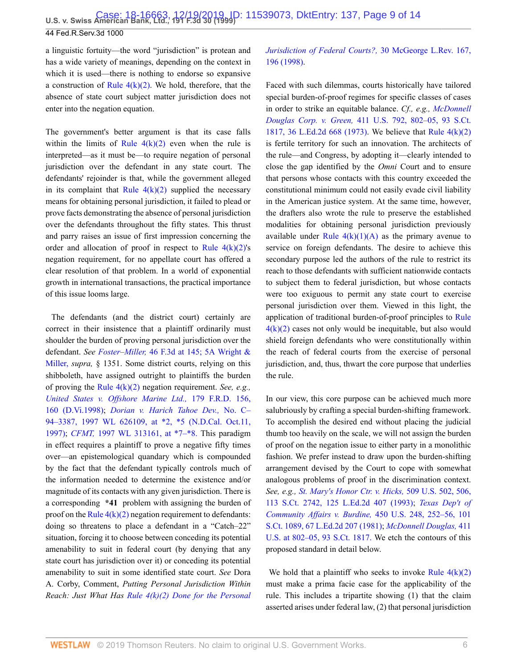a linguistic fortuity—the word "jurisdiction" is protean and has a wide variety of meanings, depending on the context in which it is used—there is nothing to endorse so expansive a construction of Rule  $4(k)(2)$ . We hold, therefore, that the absence of state court subject matter jurisdiction does not enter into the negation equation.

The government's better argument is that its case falls within the limits of Rule  $4(k)(2)$  even when the rule is interpreted—as it must be—to require negation of personal jurisdiction over the defendant in any state court. The defendants' rejoinder is that, while the government alleged in its complaint that Rule  $4(k)(2)$  supplied the necessary means for obtaining personal jurisdiction, it failed to plead or prove facts demonstrating the absence of personal jurisdiction over the defendants throughout the fifty states. This thrust and parry raises an issue of first impression concerning the order and allocation of proof in respect to Rule  $4(k)(2)$ 's negation requirement, for no appellate court has offered a clear resolution of that problem. In a world of exponential growth in international transactions, the practical importance of this issue looms large.

 The defendants (and the district court) certainly are correct in their insistence that a plaintiff ordinarily must shoulder the burden of proving personal jurisdiction over the defendant. *See Foster–Miller,* [46 F.3d at 145; 5A Wright &](http://www.westlaw.com/Link/Document/FullText?findType=Y&serNum=1995042307&pubNum=506&originatingDoc=I4c1d5a4094af11d9a707f4371c9c34f0&refType=RP&fi=co_pp_sp_506_145&originationContext=document&vr=3.0&rs=cblt1.0&transitionType=DocumentItem&contextData=(sc.History*oc.Search)#co_pp_sp_506_145) [Miller,](http://www.westlaw.com/Link/Document/FullText?findType=Y&serNum=1995042307&pubNum=506&originatingDoc=I4c1d5a4094af11d9a707f4371c9c34f0&refType=RP&fi=co_pp_sp_506_145&originationContext=document&vr=3.0&rs=cblt1.0&transitionType=DocumentItem&contextData=(sc.History*oc.Search)#co_pp_sp_506_145) *supra,* § 1351. Some district courts, relying on this shibboleth, have assigned outright to plaintiffs the burden of proving the [Rule 4\(k\)\(2\)](http://www.westlaw.com/Link/Document/FullText?findType=L&pubNum=1004365&cite=USFRCPR4&originatingDoc=I4c1d5a4094af11d9a707f4371c9c34f0&refType=LQ&originationContext=document&vr=3.0&rs=cblt1.0&transitionType=DocumentItem&contextData=(sc.History*oc.Search)) negation requirement. *See, e.g., [United States v. Offshore Marine Ltd.,](http://www.westlaw.com/Link/Document/FullText?findType=Y&serNum=1998096057&pubNum=344&originatingDoc=I4c1d5a4094af11d9a707f4371c9c34f0&refType=RP&fi=co_pp_sp_344_160&originationContext=document&vr=3.0&rs=cblt1.0&transitionType=DocumentItem&contextData=(sc.History*oc.Search)#co_pp_sp_344_160)* 179 F.R.D. 156, [160 \(D.Vi.1998\);](http://www.westlaw.com/Link/Document/FullText?findType=Y&serNum=1998096057&pubNum=344&originatingDoc=I4c1d5a4094af11d9a707f4371c9c34f0&refType=RP&fi=co_pp_sp_344_160&originationContext=document&vr=3.0&rs=cblt1.0&transitionType=DocumentItem&contextData=(sc.History*oc.Search)#co_pp_sp_344_160) *[Dorian v. Harich Tahoe Dev.,](http://www.westlaw.com/Link/Document/FullText?findType=Y&serNum=1997205827&pubNum=0000999&originatingDoc=I4c1d5a4094af11d9a707f4371c9c34f0&refType=RP&originationContext=document&vr=3.0&rs=cblt1.0&transitionType=DocumentItem&contextData=(sc.History*oc.Search))* No. C– [94–3387, 1997 WL 626109, at \\*2, \\*5 \(N.D.Cal. Oct.11,](http://www.westlaw.com/Link/Document/FullText?findType=Y&serNum=1997205827&pubNum=0000999&originatingDoc=I4c1d5a4094af11d9a707f4371c9c34f0&refType=RP&originationContext=document&vr=3.0&rs=cblt1.0&transitionType=DocumentItem&contextData=(sc.History*oc.Search)) [1997\)](http://www.westlaw.com/Link/Document/FullText?findType=Y&serNum=1997205827&pubNum=0000999&originatingDoc=I4c1d5a4094af11d9a707f4371c9c34f0&refType=RP&originationContext=document&vr=3.0&rs=cblt1.0&transitionType=DocumentItem&contextData=(sc.History*oc.Search)); *CFMT,* [1997 WL 313161, at \\*7–\\*8.](http://www.westlaw.com/Link/Document/FullText?findType=Y&serNum=1997125906&pubNum=999&originatingDoc=I4c1d5a4094af11d9a707f4371c9c34f0&refType=RP&originationContext=document&vr=3.0&rs=cblt1.0&transitionType=DocumentItem&contextData=(sc.History*oc.Search)) This paradigm in effect requires a plaintiff to prove a negative fifty times over—an epistemological quandary which is compounded by the fact that the defendant typically controls much of the information needed to determine the existence and/or magnitude of its contacts with any given jurisdiction. There is a corresponding **\*41** problem with assigning the burden of proof on the Rule  $4(k)(2)$  negation requirement to defendants: doing so threatens to place a defendant in a "Catch–22" situation, forcing it to choose between conceding its potential amenability to suit in federal court (by denying that any state court has jurisdiction over it) or conceding its potential amenability to suit in some identified state court. *See* Dora A. Corby, Comment, *Putting Personal Jurisdiction Within Reach: Just What Has [Rule 4\(k\)\(2\)](http://www.westlaw.com/Link/Document/FullText?findType=L&pubNum=1004365&cite=USFRCPR4&originatingDoc=I4c1d5a4094af11d9a707f4371c9c34f0&refType=LQ&originationContext=document&vr=3.0&rs=cblt1.0&transitionType=DocumentItem&contextData=(sc.History*oc.Search)) [Done for the Personal](http://www.westlaw.com/Link/Document/FullText?findType=Y&serNum=0110686051&pubNum=117969&originatingDoc=I4c1d5a4094af11d9a707f4371c9c34f0&refType=LR&fi=co_pp_sp_117969_196&originationContext=document&vr=3.0&rs=cblt1.0&transitionType=DocumentItem&contextData=(sc.History*oc.Search)#co_pp_sp_117969_196)*

# *[Jurisdiction of Federal Courts?,](http://www.westlaw.com/Link/Document/FullText?findType=Y&serNum=0110686051&pubNum=117969&originatingDoc=I4c1d5a4094af11d9a707f4371c9c34f0&refType=LR&fi=co_pp_sp_117969_196&originationContext=document&vr=3.0&rs=cblt1.0&transitionType=DocumentItem&contextData=(sc.History*oc.Search)#co_pp_sp_117969_196)* 30 McGeorge L.Rev. 167, [196 \(1998\)](http://www.westlaw.com/Link/Document/FullText?findType=Y&serNum=0110686051&pubNum=117969&originatingDoc=I4c1d5a4094af11d9a707f4371c9c34f0&refType=LR&fi=co_pp_sp_117969_196&originationContext=document&vr=3.0&rs=cblt1.0&transitionType=DocumentItem&contextData=(sc.History*oc.Search)#co_pp_sp_117969_196).

Faced with such dilemmas, courts historically have tailored special burden-of-proof regimes for specific classes of cases in order to strike an equitable balance. *Cf., e.g., [McDonnell](http://www.westlaw.com/Link/Document/FullText?findType=Y&serNum=1973126392&pubNum=708&originatingDoc=I4c1d5a4094af11d9a707f4371c9c34f0&refType=RP&originationContext=document&vr=3.0&rs=cblt1.0&transitionType=DocumentItem&contextData=(sc.History*oc.Search)) Douglas Corp. v. Green,* [411 U.S. 792, 802–05, 93 S.Ct.](http://www.westlaw.com/Link/Document/FullText?findType=Y&serNum=1973126392&pubNum=708&originatingDoc=I4c1d5a4094af11d9a707f4371c9c34f0&refType=RP&originationContext=document&vr=3.0&rs=cblt1.0&transitionType=DocumentItem&contextData=(sc.History*oc.Search)) [1817, 36 L.Ed.2d 668 \(1973\).](http://www.westlaw.com/Link/Document/FullText?findType=Y&serNum=1973126392&pubNum=708&originatingDoc=I4c1d5a4094af11d9a707f4371c9c34f0&refType=RP&originationContext=document&vr=3.0&rs=cblt1.0&transitionType=DocumentItem&contextData=(sc.History*oc.Search)) We believe that [Rule 4\(k\)\(2\)](http://www.westlaw.com/Link/Document/FullText?findType=L&pubNum=1004365&cite=USFRCPR4&originatingDoc=I4c1d5a4094af11d9a707f4371c9c34f0&refType=LQ&originationContext=document&vr=3.0&rs=cblt1.0&transitionType=DocumentItem&contextData=(sc.History*oc.Search)) is fertile territory for such an innovation. The architects of the rule—and Congress, by adopting it—clearly intended to close the gap identified by the *Omni* Court and to ensure that persons whose contacts with this country exceeded the constitutional minimum could not easily evade civil liability in the American justice system. At the same time, however, the drafters also wrote the rule to preserve the established modalities for obtaining personal jurisdiction previously available under Rule  $4(k)(1)(A)$  as the primary avenue to service on foreign defendants. The desire to achieve this secondary purpose led the authors of the rule to restrict its reach to those defendants with sufficient nationwide contacts to subject them to federal jurisdiction, but whose contacts were too exiguous to permit any state court to exercise personal jurisdiction over them. Viewed in this light, the application of traditional burden-of-proof principles to [Rule](http://www.westlaw.com/Link/Document/FullText?findType=L&pubNum=1004365&cite=USFRCPR4&originatingDoc=I4c1d5a4094af11d9a707f4371c9c34f0&refType=LQ&originationContext=document&vr=3.0&rs=cblt1.0&transitionType=DocumentItem&contextData=(sc.History*oc.Search))  $4(k)(2)$  cases not only would be inequitable, but also would shield foreign defendants who were constitutionally within the reach of federal courts from the exercise of personal jurisdiction, and, thus, thwart the core purpose that underlies the rule.

In our view, this core purpose can be achieved much more salubriously by crafting a special burden-shifting framework. To accomplish the desired end without placing the judicial thumb too heavily on the scale, we will not assign the burden of proof on the negation issue to either party in a monolithic fashion. We prefer instead to draw upon the burden-shifting arrangement devised by the Court to cope with somewhat analogous problems of proof in the discrimination context. *See, e.g., [St. Mary's Honor Ctr. v. Hicks,](http://www.westlaw.com/Link/Document/FullText?findType=Y&serNum=1993129848&pubNum=708&originatingDoc=I4c1d5a4094af11d9a707f4371c9c34f0&refType=RP&originationContext=document&vr=3.0&rs=cblt1.0&transitionType=DocumentItem&contextData=(sc.History*oc.Search))* 509 U.S. 502, 506, [113 S.Ct. 2742, 125 L.Ed.2d 407 \(1993\)](http://www.westlaw.com/Link/Document/FullText?findType=Y&serNum=1993129848&pubNum=708&originatingDoc=I4c1d5a4094af11d9a707f4371c9c34f0&refType=RP&originationContext=document&vr=3.0&rs=cblt1.0&transitionType=DocumentItem&contextData=(sc.History*oc.Search)); *[Texas Dep't of](http://www.westlaw.com/Link/Document/FullText?findType=Y&serNum=1981109601&pubNum=708&originatingDoc=I4c1d5a4094af11d9a707f4371c9c34f0&refType=RP&originationContext=document&vr=3.0&rs=cblt1.0&transitionType=DocumentItem&contextData=(sc.History*oc.Search)) [Community Affairs v. Burdine,](http://www.westlaw.com/Link/Document/FullText?findType=Y&serNum=1981109601&pubNum=708&originatingDoc=I4c1d5a4094af11d9a707f4371c9c34f0&refType=RP&originationContext=document&vr=3.0&rs=cblt1.0&transitionType=DocumentItem&contextData=(sc.History*oc.Search))* 450 U.S. 248, 252–56, 101 [S.Ct. 1089, 67 L.Ed.2d 207 \(1981\);](http://www.westlaw.com/Link/Document/FullText?findType=Y&serNum=1981109601&pubNum=708&originatingDoc=I4c1d5a4094af11d9a707f4371c9c34f0&refType=RP&originationContext=document&vr=3.0&rs=cblt1.0&transitionType=DocumentItem&contextData=(sc.History*oc.Search)) *[McDonnell Douglas,](http://www.westlaw.com/Link/Document/FullText?findType=Y&serNum=1973126392&pubNum=708&originatingDoc=I4c1d5a4094af11d9a707f4371c9c34f0&refType=RP&originationContext=document&vr=3.0&rs=cblt1.0&transitionType=DocumentItem&contextData=(sc.History*oc.Search))* 411 [U.S. at 802–05, 93 S.Ct. 1817.](http://www.westlaw.com/Link/Document/FullText?findType=Y&serNum=1973126392&pubNum=708&originatingDoc=I4c1d5a4094af11d9a707f4371c9c34f0&refType=RP&originationContext=document&vr=3.0&rs=cblt1.0&transitionType=DocumentItem&contextData=(sc.History*oc.Search)) We etch the contours of this proposed standard in detail below.

We hold that a plaintiff who seeks to invoke Rule  $4(k)(2)$ must make a prima facie case for the applicability of the rule. This includes a tripartite showing (1) that the claim asserted arises under federal law, (2) that personal jurisdiction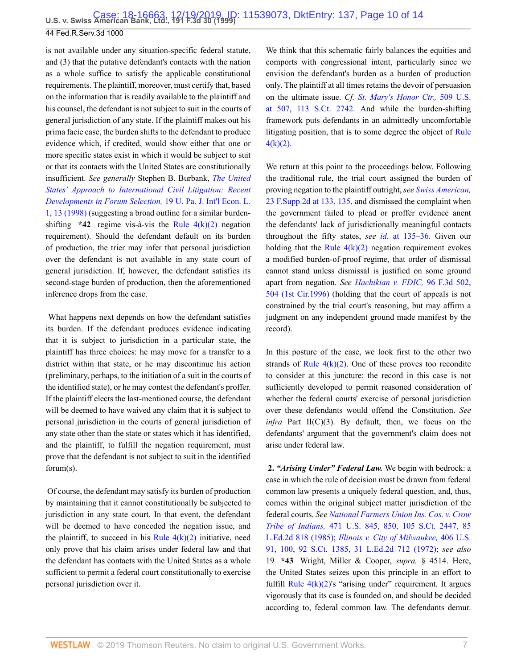is not available under any situation-specific federal statute, and (3) that the putative defendant's contacts with the nation as a whole suffice to satisfy the applicable constitutional requirements. The plaintiff, moreover, must certify that, based on the information that is readily available to the plaintiff and his counsel, the defendant is not subject to suit in the courts of general jurisdiction of any state. If the plaintiff makes out his prima facie case, the burden shifts to the defendant to produce evidence which, if credited, would show either that one or more specific states exist in which it would be subject to suit or that its contacts with the United States are constitutionally insufficient. *See generally* Stephen B. Burbank, *[The United](http://www.westlaw.com/Link/Document/FullText?findType=Y&serNum=0108936731&pubNum=111523&originatingDoc=I4c1d5a4094af11d9a707f4371c9c34f0&refType=LR&fi=co_pp_sp_111523_13&originationContext=document&vr=3.0&rs=cblt1.0&transitionType=DocumentItem&contextData=(sc.History*oc.Search)#co_pp_sp_111523_13) [States' Approach to International Civil Litigation: Recent](http://www.westlaw.com/Link/Document/FullText?findType=Y&serNum=0108936731&pubNum=111523&originatingDoc=I4c1d5a4094af11d9a707f4371c9c34f0&refType=LR&fi=co_pp_sp_111523_13&originationContext=document&vr=3.0&rs=cblt1.0&transitionType=DocumentItem&contextData=(sc.History*oc.Search)#co_pp_sp_111523_13) [Developments in Forum Selection,](http://www.westlaw.com/Link/Document/FullText?findType=Y&serNum=0108936731&pubNum=111523&originatingDoc=I4c1d5a4094af11d9a707f4371c9c34f0&refType=LR&fi=co_pp_sp_111523_13&originationContext=document&vr=3.0&rs=cblt1.0&transitionType=DocumentItem&contextData=(sc.History*oc.Search)#co_pp_sp_111523_13)* 19 U. Pa. J. Int'l Econ. L. [1, 13 \(1998\)](http://www.westlaw.com/Link/Document/FullText?findType=Y&serNum=0108936731&pubNum=111523&originatingDoc=I4c1d5a4094af11d9a707f4371c9c34f0&refType=LR&fi=co_pp_sp_111523_13&originationContext=document&vr=3.0&rs=cblt1.0&transitionType=DocumentItem&contextData=(sc.History*oc.Search)#co_pp_sp_111523_13) (suggesting a broad outline for a similar burdenshifting  $*42$  regime vis-à-vis the Rule  $4(k)(2)$  negation requirement). Should the defendant default on its burden of production, the trier may infer that personal jurisdiction over the defendant is not available in any state court of general jurisdiction. If, however, the defendant satisfies its second-stage burden of production, then the aforementioned inference drops from the case.

 What happens next depends on how the defendant satisfies its burden. If the defendant produces evidence indicating that it is subject to jurisdiction in a particular state, the plaintiff has three choices: he may move for a transfer to a district within that state, or he may discontinue his action (preliminary, perhaps, to the initiation of a suit in the courts of the identified state), or he may contest the defendant's proffer. If the plaintiff elects the last-mentioned course, the defendant will be deemed to have waived any claim that it is subject to personal jurisdiction in the courts of general jurisdiction of any state other than the state or states which it has identified, and the plaintiff, to fulfill the negation requirement, must prove that the defendant is not subject to suit in the identified forum(s).

 Of course, the defendant may satisfy its burden of production by maintaining that it cannot constitutionally be subjected to jurisdiction in any state court. In that event, the defendant will be deemed to have conceded the negation issue, and the plaintiff, to succeed in his Rule  $4(k)(2)$  initiative, need only prove that his claim arises under federal law and that the defendant has contacts with the United States as a whole sufficient to permit a federal court constitutionally to exercise personal jurisdiction over it.

We think that this schematic fairly balances the equities and comports with congressional intent, particularly since we envision the defendant's burden as a burden of production only. The plaintiff at all times retains the devoir of persuasion on the ultimate issue. *Cf. [St. Mary's Honor Ctr.,](http://www.westlaw.com/Link/Document/FullText?findType=Y&serNum=1993129848&pubNum=708&originatingDoc=I4c1d5a4094af11d9a707f4371c9c34f0&refType=RP&originationContext=document&vr=3.0&rs=cblt1.0&transitionType=DocumentItem&contextData=(sc.History*oc.Search))* 509 U.S. [at 507, 113 S.Ct. 2742.](http://www.westlaw.com/Link/Document/FullText?findType=Y&serNum=1993129848&pubNum=708&originatingDoc=I4c1d5a4094af11d9a707f4371c9c34f0&refType=RP&originationContext=document&vr=3.0&rs=cblt1.0&transitionType=DocumentItem&contextData=(sc.History*oc.Search)) And while the burden-shifting framework puts defendants in an admittedly uncomfortable litigating position, that is to some degree the object of [Rule](http://www.westlaw.com/Link/Document/FullText?findType=L&pubNum=1004365&cite=USFRCPR4&originatingDoc=I4c1d5a4094af11d9a707f4371c9c34f0&refType=LQ&originationContext=document&vr=3.0&rs=cblt1.0&transitionType=DocumentItem&contextData=(sc.History*oc.Search))  $4(k)(2)$ .

We return at this point to the proceedings below. Following the traditional rule, the trial court assigned the burden of proving negation to the plaintiff outright, *see [Swiss American,](http://www.westlaw.com/Link/Document/FullText?findType=Y&serNum=1998204625&pubNum=4637&originatingDoc=I4c1d5a4094af11d9a707f4371c9c34f0&refType=RP&fi=co_pp_sp_4637_133&originationContext=document&vr=3.0&rs=cblt1.0&transitionType=DocumentItem&contextData=(sc.History*oc.Search)#co_pp_sp_4637_133)* [23 F.Supp.2d at 133, 135,](http://www.westlaw.com/Link/Document/FullText?findType=Y&serNum=1998204625&pubNum=4637&originatingDoc=I4c1d5a4094af11d9a707f4371c9c34f0&refType=RP&fi=co_pp_sp_4637_133&originationContext=document&vr=3.0&rs=cblt1.0&transitionType=DocumentItem&contextData=(sc.History*oc.Search)#co_pp_sp_4637_133) and dismissed the complaint when the government failed to plead or proffer evidence anent the defendants' lack of jurisdictionally meaningful contacts throughout the fifty states, *see id.* [at 135–36.](http://www.westlaw.com/Link/Document/FullText?findType=Y&serNum=1998204625&originatingDoc=I4c1d5a4094af11d9a707f4371c9c34f0&refType=RP&originationContext=document&vr=3.0&rs=cblt1.0&transitionType=DocumentItem&contextData=(sc.History*oc.Search)) Given our holding that the Rule  $4(k)(2)$  negation requirement evokes a modified burden-of-proof regime, that order of dismissal cannot stand unless dismissal is justified on some ground apart from negation. *See [Hachikian v. FDIC,](http://www.westlaw.com/Link/Document/FullText?findType=Y&serNum=1996205284&pubNum=506&originatingDoc=I4c1d5a4094af11d9a707f4371c9c34f0&refType=RP&fi=co_pp_sp_506_504&originationContext=document&vr=3.0&rs=cblt1.0&transitionType=DocumentItem&contextData=(sc.History*oc.Search)#co_pp_sp_506_504)* 96 F.3d 502, [504 \(1st Cir.1996\)](http://www.westlaw.com/Link/Document/FullText?findType=Y&serNum=1996205284&pubNum=506&originatingDoc=I4c1d5a4094af11d9a707f4371c9c34f0&refType=RP&fi=co_pp_sp_506_504&originationContext=document&vr=3.0&rs=cblt1.0&transitionType=DocumentItem&contextData=(sc.History*oc.Search)#co_pp_sp_506_504) (holding that the court of appeals is not constrained by the trial court's reasoning, but may affirm a judgment on any independent ground made manifest by the record).

In this posture of the case, we look first to the other two strands of Rule  $4(k)(2)$ . One of these proves too recondite to consider at this juncture: the record in this case is not sufficiently developed to permit reasoned consideration of whether the federal courts' exercise of personal jurisdiction over these defendants would offend the Constitution. *See infra* Part II(C)(3). By default, then, we focus on the defendants' argument that the government's claim does not arise under federal law.

**2.** *"Arising Under" Federal Law.* We begin with bedrock: a case in which the rule of decision must be drawn from federal common law presents a uniquely federal question, and, thus, comes within the original subject matter jurisdiction of the federal courts. *See [National Farmers Union Ins. Cos. v. Crow](http://www.westlaw.com/Link/Document/FullText?findType=Y&serNum=1985127861&pubNum=708&originatingDoc=I4c1d5a4094af11d9a707f4371c9c34f0&refType=RP&originationContext=document&vr=3.0&rs=cblt1.0&transitionType=DocumentItem&contextData=(sc.History*oc.Search)) Tribe of Indians,* [471 U.S. 845, 850, 105 S.Ct. 2447, 85](http://www.westlaw.com/Link/Document/FullText?findType=Y&serNum=1985127861&pubNum=708&originatingDoc=I4c1d5a4094af11d9a707f4371c9c34f0&refType=RP&originationContext=document&vr=3.0&rs=cblt1.0&transitionType=DocumentItem&contextData=(sc.History*oc.Search)) [L.Ed.2d 818 \(1985\)](http://www.westlaw.com/Link/Document/FullText?findType=Y&serNum=1985127861&pubNum=708&originatingDoc=I4c1d5a4094af11d9a707f4371c9c34f0&refType=RP&originationContext=document&vr=3.0&rs=cblt1.0&transitionType=DocumentItem&contextData=(sc.History*oc.Search)); *[Illinois v. City of Milwaukee,](http://www.westlaw.com/Link/Document/FullText?findType=Y&serNum=1972127108&pubNum=708&originatingDoc=I4c1d5a4094af11d9a707f4371c9c34f0&refType=RP&originationContext=document&vr=3.0&rs=cblt1.0&transitionType=DocumentItem&contextData=(sc.History*oc.Search))* 406 U.S. [91, 100, 92 S.Ct. 1385, 31 L.Ed.2d 712 \(1972\);](http://www.westlaw.com/Link/Document/FullText?findType=Y&serNum=1972127108&pubNum=708&originatingDoc=I4c1d5a4094af11d9a707f4371c9c34f0&refType=RP&originationContext=document&vr=3.0&rs=cblt1.0&transitionType=DocumentItem&contextData=(sc.History*oc.Search)) *see also* 19 **\*43** Wright, Miller & Cooper, *supra,* § 4514. Here, the United States seizes upon this principle in an effort to fulfill Rule  $4(k)(2)$ 's "arising under" requirement. It argues vigorously that its case is founded on, and should be decided according to, federal common law. The defendants demur.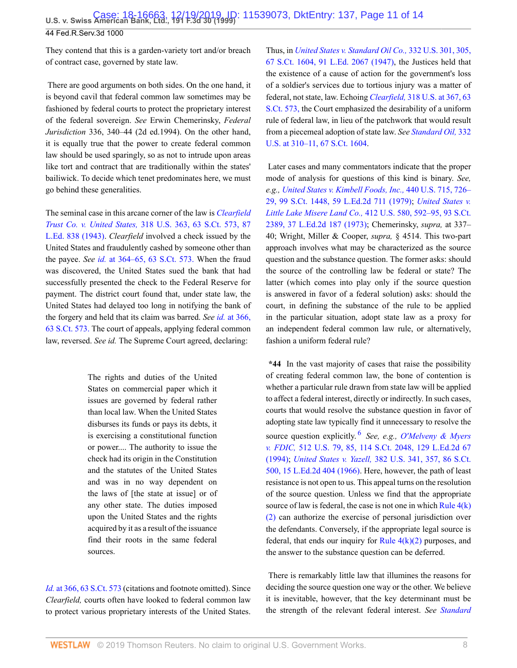They contend that this is a garden-variety tort and/or breach of contract case, governed by state law.

 There are good arguments on both sides. On the one hand, it is beyond cavil that federal common law sometimes may be fashioned by federal courts to protect the proprietary interest of the federal sovereign. *See* Erwin Chemerinsky, *Federal Jurisdiction* 336, 340–44 (2d ed.1994). On the other hand, it is equally true that the power to create federal common law should be used sparingly, so as not to intrude upon areas like tort and contract that are traditionally within the states' bailiwick. To decide which tenet predominates here, we must go behind these generalities.

The seminal case in this arcane corner of the law is *[Clearfield](http://www.westlaw.com/Link/Document/FullText?findType=Y&serNum=1943120347&pubNum=708&originatingDoc=I4c1d5a4094af11d9a707f4371c9c34f0&refType=RP&originationContext=document&vr=3.0&rs=cblt1.0&transitionType=DocumentItem&contextData=(sc.History*oc.Search)) Trust Co. v. United States,* [318 U.S. 363, 63 S.Ct. 573, 87](http://www.westlaw.com/Link/Document/FullText?findType=Y&serNum=1943120347&pubNum=708&originatingDoc=I4c1d5a4094af11d9a707f4371c9c34f0&refType=RP&originationContext=document&vr=3.0&rs=cblt1.0&transitionType=DocumentItem&contextData=(sc.History*oc.Search)) [L.Ed. 838 \(1943\).](http://www.westlaw.com/Link/Document/FullText?findType=Y&serNum=1943120347&pubNum=708&originatingDoc=I4c1d5a4094af11d9a707f4371c9c34f0&refType=RP&originationContext=document&vr=3.0&rs=cblt1.0&transitionType=DocumentItem&contextData=(sc.History*oc.Search)) *Clearfield* involved a check issued by the United States and fraudulently cashed by someone other than the payee. *See id.* [at 364–65, 63 S.Ct. 573.](http://www.westlaw.com/Link/Document/FullText?findType=Y&serNum=1943120347&pubNum=708&originatingDoc=I4c1d5a4094af11d9a707f4371c9c34f0&refType=RP&originationContext=document&vr=3.0&rs=cblt1.0&transitionType=DocumentItem&contextData=(sc.History*oc.Search)) When the fraud was discovered, the United States sued the bank that had successfully presented the check to the Federal Reserve for payment. The district court found that, under state law, the United States had delayed too long in notifying the bank of the forgery and held that its claim was barred. *See id.* [at 366,](http://www.westlaw.com/Link/Document/FullText?findType=Y&serNum=1943120347&pubNum=708&originatingDoc=I4c1d5a4094af11d9a707f4371c9c34f0&refType=RP&originationContext=document&vr=3.0&rs=cblt1.0&transitionType=DocumentItem&contextData=(sc.History*oc.Search)) [63 S.Ct. 573.](http://www.westlaw.com/Link/Document/FullText?findType=Y&serNum=1943120347&pubNum=708&originatingDoc=I4c1d5a4094af11d9a707f4371c9c34f0&refType=RP&originationContext=document&vr=3.0&rs=cblt1.0&transitionType=DocumentItem&contextData=(sc.History*oc.Search)) The court of appeals, applying federal common law, reversed. *See id.* The Supreme Court agreed, declaring:

> The rights and duties of the United States on commercial paper which it issues are governed by federal rather than local law. When the United States disburses its funds or pays its debts, it is exercising a constitutional function or power.... The authority to issue the check had its origin in the Constitution and the statutes of the United States and was in no way dependent on the laws of [the state at issue] or of any other state. The duties imposed upon the United States and the rights acquired by it as a result of the issuance find their roots in the same federal sources.

*Id.* [at 366, 63 S.Ct. 573](http://www.westlaw.com/Link/Document/FullText?findType=Y&serNum=1943120347&pubNum=708&originatingDoc=I4c1d5a4094af11d9a707f4371c9c34f0&refType=RP&originationContext=document&vr=3.0&rs=cblt1.0&transitionType=DocumentItem&contextData=(sc.History*oc.Search)) (citations and footnote omitted). Since *Clearfield,* courts often have looked to federal common law to protect various proprietary interests of the United States. Thus, in *[United States v. Standard Oil Co.,](http://www.westlaw.com/Link/Document/FullText?findType=Y&serNum=1947117395&pubNum=708&originatingDoc=I4c1d5a4094af11d9a707f4371c9c34f0&refType=RP&originationContext=document&vr=3.0&rs=cblt1.0&transitionType=DocumentItem&contextData=(sc.History*oc.Search))* 332 U.S. 301, 305, [67 S.Ct. 1604, 91 L.Ed. 2067 \(1947\),](http://www.westlaw.com/Link/Document/FullText?findType=Y&serNum=1947117395&pubNum=708&originatingDoc=I4c1d5a4094af11d9a707f4371c9c34f0&refType=RP&originationContext=document&vr=3.0&rs=cblt1.0&transitionType=DocumentItem&contextData=(sc.History*oc.Search)) the Justices held that the existence of a cause of action for the government's loss of a soldier's services due to tortious injury was a matter of federal, not state, law. Echoing *Clearfield,* [318 U.S. at 367, 63](http://www.westlaw.com/Link/Document/FullText?findType=Y&serNum=1943120347&pubNum=708&originatingDoc=I4c1d5a4094af11d9a707f4371c9c34f0&refType=RP&originationContext=document&vr=3.0&rs=cblt1.0&transitionType=DocumentItem&contextData=(sc.History*oc.Search)) [S.Ct. 573,](http://www.westlaw.com/Link/Document/FullText?findType=Y&serNum=1943120347&pubNum=708&originatingDoc=I4c1d5a4094af11d9a707f4371c9c34f0&refType=RP&originationContext=document&vr=3.0&rs=cblt1.0&transitionType=DocumentItem&contextData=(sc.History*oc.Search)) the Court emphasized the desirability of a uniform rule of federal law, in lieu of the patchwork that would result from a piecemeal adoption of state law. *See [Standard Oil,](http://www.westlaw.com/Link/Document/FullText?findType=Y&serNum=1947117395&pubNum=708&originatingDoc=I4c1d5a4094af11d9a707f4371c9c34f0&refType=RP&originationContext=document&vr=3.0&rs=cblt1.0&transitionType=DocumentItem&contextData=(sc.History*oc.Search))* 332 [U.S. at 310–11, 67 S.Ct. 1604.](http://www.westlaw.com/Link/Document/FullText?findType=Y&serNum=1947117395&pubNum=708&originatingDoc=I4c1d5a4094af11d9a707f4371c9c34f0&refType=RP&originationContext=document&vr=3.0&rs=cblt1.0&transitionType=DocumentItem&contextData=(sc.History*oc.Search))

 Later cases and many commentators indicate that the proper mode of analysis for questions of this kind is binary. *See, e.g., [United States v. Kimbell Foods, Inc.,](http://www.westlaw.com/Link/Document/FullText?findType=Y&serNum=1979108055&pubNum=708&originatingDoc=I4c1d5a4094af11d9a707f4371c9c34f0&refType=RP&originationContext=document&vr=3.0&rs=cblt1.0&transitionType=DocumentItem&contextData=(sc.History*oc.Search))* 440 U.S. 715, 726– [29, 99 S.Ct. 1448, 59 L.Ed.2d 711 \(1979\);](http://www.westlaw.com/Link/Document/FullText?findType=Y&serNum=1979108055&pubNum=708&originatingDoc=I4c1d5a4094af11d9a707f4371c9c34f0&refType=RP&originationContext=document&vr=3.0&rs=cblt1.0&transitionType=DocumentItem&contextData=(sc.History*oc.Search)) *[United States v.](http://www.westlaw.com/Link/Document/FullText?findType=Y&serNum=1973126425&pubNum=708&originatingDoc=I4c1d5a4094af11d9a707f4371c9c34f0&refType=RP&originationContext=document&vr=3.0&rs=cblt1.0&transitionType=DocumentItem&contextData=(sc.History*oc.Search)) Little Lake Misere Land Co.,* [412 U.S. 580, 592–95, 93 S.Ct.](http://www.westlaw.com/Link/Document/FullText?findType=Y&serNum=1973126425&pubNum=708&originatingDoc=I4c1d5a4094af11d9a707f4371c9c34f0&refType=RP&originationContext=document&vr=3.0&rs=cblt1.0&transitionType=DocumentItem&contextData=(sc.History*oc.Search)) [2389, 37 L.Ed.2d 187 \(1973\)](http://www.westlaw.com/Link/Document/FullText?findType=Y&serNum=1973126425&pubNum=708&originatingDoc=I4c1d5a4094af11d9a707f4371c9c34f0&refType=RP&originationContext=document&vr=3.0&rs=cblt1.0&transitionType=DocumentItem&contextData=(sc.History*oc.Search)); Chemerinsky, *supra,* at 337– 40; Wright, Miller & Cooper, *supra,* § 4514. This two-part approach involves what may be characterized as the source question and the substance question. The former asks: should the source of the controlling law be federal or state? The latter (which comes into play only if the source question is answered in favor of a federal solution) asks: should the court, in defining the substance of the rule to be applied in the particular situation, adopt state law as a proxy for an independent federal common law rule, or alternatively, fashion a uniform federal rule?

<span id="page-10-0"></span>**\*44** In the vast majority of cases that raise the possibility of creating federal common law, the bone of contention is whether a particular rule drawn from state law will be applied to affect a federal interest, directly or indirectly. In such cases, courts that would resolve the substance question in favor of adopting state law typically find it unnecessary to resolve the source question explicitly. [6](#page-13-5) *See, e.g., [O'Melveny & Myers](http://www.westlaw.com/Link/Document/FullText?findType=Y&serNum=1994127017&pubNum=708&originatingDoc=I4c1d5a4094af11d9a707f4371c9c34f0&refType=RP&originationContext=document&vr=3.0&rs=cblt1.0&transitionType=DocumentItem&contextData=(sc.History*oc.Search)) v. FDIC,* [512 U.S. 79, 85, 114 S.Ct. 2048, 129 L.Ed.2d 67](http://www.westlaw.com/Link/Document/FullText?findType=Y&serNum=1994127017&pubNum=708&originatingDoc=I4c1d5a4094af11d9a707f4371c9c34f0&refType=RP&originationContext=document&vr=3.0&rs=cblt1.0&transitionType=DocumentItem&contextData=(sc.History*oc.Search)) [\(1994\);](http://www.westlaw.com/Link/Document/FullText?findType=Y&serNum=1994127017&pubNum=708&originatingDoc=I4c1d5a4094af11d9a707f4371c9c34f0&refType=RP&originationContext=document&vr=3.0&rs=cblt1.0&transitionType=DocumentItem&contextData=(sc.History*oc.Search)) *United States v. Yazell,* [382 U.S. 341, 357, 86 S.Ct.](http://www.westlaw.com/Link/Document/FullText?findType=Y&serNum=1966106380&pubNum=708&originatingDoc=I4c1d5a4094af11d9a707f4371c9c34f0&refType=RP&originationContext=document&vr=3.0&rs=cblt1.0&transitionType=DocumentItem&contextData=(sc.History*oc.Search)) [500, 15 L.Ed.2d 404 \(1966\)](http://www.westlaw.com/Link/Document/FullText?findType=Y&serNum=1966106380&pubNum=708&originatingDoc=I4c1d5a4094af11d9a707f4371c9c34f0&refType=RP&originationContext=document&vr=3.0&rs=cblt1.0&transitionType=DocumentItem&contextData=(sc.History*oc.Search)). Here, however, the path of least resistance is not open to us. This appeal turns on the resolution of the source question. Unless we find that the appropriate source of law is federal, the case is not one in which Rule  $4(k)$ [\(2\)](http://www.westlaw.com/Link/Document/FullText?findType=L&pubNum=1004365&cite=USFRCPR4&originatingDoc=I4c1d5a4094af11d9a707f4371c9c34f0&refType=LQ&originationContext=document&vr=3.0&rs=cblt1.0&transitionType=DocumentItem&contextData=(sc.History*oc.Search)) can authorize the exercise of personal jurisdiction over the defendants. Conversely, if the appropriate legal source is federal, that ends our inquiry for Rule  $4(k)(2)$  purposes, and the answer to the substance question can be deferred.

 There is remarkably little law that illumines the reasons for deciding the source question one way or the other. We believe it is inevitable, however, that the key determinant must be the strength of the relevant federal interest. *See [Standard](http://www.westlaw.com/Link/Document/FullText?findType=Y&serNum=1947117395&pubNum=708&originatingDoc=I4c1d5a4094af11d9a707f4371c9c34f0&refType=RP&originationContext=document&vr=3.0&rs=cblt1.0&transitionType=DocumentItem&contextData=(sc.History*oc.Search))*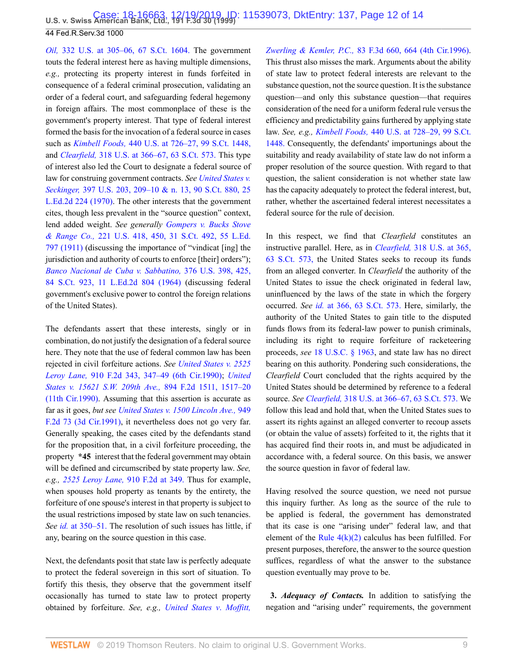**U.S. v. Swiss American Bank, Ltd., 191 F.3d 30 (1999)** Case: 18-16663, 12/19/2019, ID: 11539073, DktEntry: 137, Page 12 of 14

#### 44 Fed.R.Serv.3d 1000

*Oil,* [332 U.S. at 305–06, 67 S.Ct. 1604.](http://www.westlaw.com/Link/Document/FullText?findType=Y&serNum=1947117395&pubNum=708&originatingDoc=I4c1d5a4094af11d9a707f4371c9c34f0&refType=RP&originationContext=document&vr=3.0&rs=cblt1.0&transitionType=DocumentItem&contextData=(sc.History*oc.Search)) The government touts the federal interest here as having multiple dimensions, *e.g.,* protecting its property interest in funds forfeited in consequence of a federal criminal prosecution, validating an order of a federal court, and safeguarding federal hegemony in foreign affairs. The most commonplace of these is the government's property interest. That type of federal interest formed the basis for the invocation of a federal source in cases such as *Kimbell Foods,* [440 U.S. at 726–27, 99 S.Ct. 1448,](http://www.westlaw.com/Link/Document/FullText?findType=Y&serNum=1979108055&pubNum=708&originatingDoc=I4c1d5a4094af11d9a707f4371c9c34f0&refType=RP&originationContext=document&vr=3.0&rs=cblt1.0&transitionType=DocumentItem&contextData=(sc.History*oc.Search)) and *Clearfield,* [318 U.S. at 366–67, 63 S.Ct. 573.](http://www.westlaw.com/Link/Document/FullText?findType=Y&serNum=1943120347&pubNum=708&originatingDoc=I4c1d5a4094af11d9a707f4371c9c34f0&refType=RP&originationContext=document&vr=3.0&rs=cblt1.0&transitionType=DocumentItem&contextData=(sc.History*oc.Search)) This type of interest also led the Court to designate a federal source of law for construing government contracts. *See [United States v.](http://www.westlaw.com/Link/Document/FullText?findType=Y&serNum=1970134196&pubNum=708&originatingDoc=I4c1d5a4094af11d9a707f4371c9c34f0&refType=RP&originationContext=document&vr=3.0&rs=cblt1.0&transitionType=DocumentItem&contextData=(sc.History*oc.Search)) Seckinger,* [397 U.S. 203, 209–10 & n. 13, 90 S.Ct. 880, 25](http://www.westlaw.com/Link/Document/FullText?findType=Y&serNum=1970134196&pubNum=708&originatingDoc=I4c1d5a4094af11d9a707f4371c9c34f0&refType=RP&originationContext=document&vr=3.0&rs=cblt1.0&transitionType=DocumentItem&contextData=(sc.History*oc.Search)) [L.Ed.2d 224 \(1970\)](http://www.westlaw.com/Link/Document/FullText?findType=Y&serNum=1970134196&pubNum=708&originatingDoc=I4c1d5a4094af11d9a707f4371c9c34f0&refType=RP&originationContext=document&vr=3.0&rs=cblt1.0&transitionType=DocumentItem&contextData=(sc.History*oc.Search)). The other interests that the government cites, though less prevalent in the "source question" context, lend added weight. *See generally [Gompers v. Bucks Stove](http://www.westlaw.com/Link/Document/FullText?findType=Y&serNum=1911103423&pubNum=708&originatingDoc=I4c1d5a4094af11d9a707f4371c9c34f0&refType=RP&originationContext=document&vr=3.0&rs=cblt1.0&transitionType=DocumentItem&contextData=(sc.History*oc.Search)) & Range Co.,* [221 U.S. 418, 450, 31 S.Ct. 492, 55 L.Ed.](http://www.westlaw.com/Link/Document/FullText?findType=Y&serNum=1911103423&pubNum=708&originatingDoc=I4c1d5a4094af11d9a707f4371c9c34f0&refType=RP&originationContext=document&vr=3.0&rs=cblt1.0&transitionType=DocumentItem&contextData=(sc.History*oc.Search)) [797 \(1911\)](http://www.westlaw.com/Link/Document/FullText?findType=Y&serNum=1911103423&pubNum=708&originatingDoc=I4c1d5a4094af11d9a707f4371c9c34f0&refType=RP&originationContext=document&vr=3.0&rs=cblt1.0&transitionType=DocumentItem&contextData=(sc.History*oc.Search)) (discussing the importance of "vindicat [ing] the jurisdiction and authority of courts to enforce [their] orders"); *[Banco Nacional de Cuba v. Sabbatino,](http://www.westlaw.com/Link/Document/FullText?findType=Y&serNum=1964100336&pubNum=708&originatingDoc=I4c1d5a4094af11d9a707f4371c9c34f0&refType=RP&originationContext=document&vr=3.0&rs=cblt1.0&transitionType=DocumentItem&contextData=(sc.History*oc.Search))* 376 U.S. 398, 425, [84 S.Ct. 923, 11 L.Ed.2d 804 \(1964\)](http://www.westlaw.com/Link/Document/FullText?findType=Y&serNum=1964100336&pubNum=708&originatingDoc=I4c1d5a4094af11d9a707f4371c9c34f0&refType=RP&originationContext=document&vr=3.0&rs=cblt1.0&transitionType=DocumentItem&contextData=(sc.History*oc.Search)) (discussing federal government's exclusive power to control the foreign relations of the United States).

The defendants assert that these interests, singly or in combination, do not justify the designation of a federal source here. They note that the use of federal common law has been rejected in civil forfeiture actions. *See [United States v. 2525](http://www.westlaw.com/Link/Document/FullText?findType=Y&serNum=1990117766&pubNum=350&originatingDoc=I4c1d5a4094af11d9a707f4371c9c34f0&refType=RP&fi=co_pp_sp_350_347&originationContext=document&vr=3.0&rs=cblt1.0&transitionType=DocumentItem&contextData=(sc.History*oc.Search)#co_pp_sp_350_347) Leroy Lane,* [910 F.2d 343, 347–49 \(6th Cir.1990\);](http://www.westlaw.com/Link/Document/FullText?findType=Y&serNum=1990117766&pubNum=350&originatingDoc=I4c1d5a4094af11d9a707f4371c9c34f0&refType=RP&fi=co_pp_sp_350_347&originationContext=document&vr=3.0&rs=cblt1.0&transitionType=DocumentItem&contextData=(sc.History*oc.Search)#co_pp_sp_350_347) *[United](http://www.westlaw.com/Link/Document/FullText?findType=Y&serNum=1990035900&pubNum=712&originatingDoc=I4c1d5a4094af11d9a707f4371c9c34f0&refType=RP&originationContext=document&vr=3.0&rs=cblt1.0&transitionType=DocumentItem&contextData=(sc.History*oc.Search)) [States v. 15621 S.W. 209th Ave.,](http://www.westlaw.com/Link/Document/FullText?findType=Y&serNum=1990035900&pubNum=712&originatingDoc=I4c1d5a4094af11d9a707f4371c9c34f0&refType=RP&originationContext=document&vr=3.0&rs=cblt1.0&transitionType=DocumentItem&contextData=(sc.History*oc.Search))* 894 F.2d 1511, 1517–20 [\(11th Cir.1990\)](http://www.westlaw.com/Link/Document/FullText?findType=Y&serNum=1990035900&pubNum=712&originatingDoc=I4c1d5a4094af11d9a707f4371c9c34f0&refType=RP&originationContext=document&vr=3.0&rs=cblt1.0&transitionType=DocumentItem&contextData=(sc.History*oc.Search)). Assuming that this assertion is accurate as far as it goes, *but see [United States v. 1500 Lincoln Ave.,](http://www.westlaw.com/Link/Document/FullText?findType=Y&serNum=1991183867&pubNum=350&originatingDoc=I4c1d5a4094af11d9a707f4371c9c34f0&refType=RP&originationContext=document&vr=3.0&rs=cblt1.0&transitionType=DocumentItem&contextData=(sc.History*oc.Search))* 949 [F.2d 73 \(3d Cir.1991\)](http://www.westlaw.com/Link/Document/FullText?findType=Y&serNum=1991183867&pubNum=350&originatingDoc=I4c1d5a4094af11d9a707f4371c9c34f0&refType=RP&originationContext=document&vr=3.0&rs=cblt1.0&transitionType=DocumentItem&contextData=(sc.History*oc.Search)), it nevertheless does not go very far. Generally speaking, the cases cited by the defendants stand for the proposition that, in a civil forfeiture proceeding, the property **\*45** interest that the federal government may obtain will be defined and circumscribed by state property law. *See, e.g., [2525 Leroy Lane,](http://www.westlaw.com/Link/Document/FullText?findType=Y&serNum=1990117766&pubNum=350&originatingDoc=I4c1d5a4094af11d9a707f4371c9c34f0&refType=RP&fi=co_pp_sp_350_349&originationContext=document&vr=3.0&rs=cblt1.0&transitionType=DocumentItem&contextData=(sc.History*oc.Search)#co_pp_sp_350_349)* 910 F.2d at 349. Thus for example, when spouses hold property as tenants by the entirety, the forfeiture of one spouse's interest in that property is subject to the usual restrictions imposed by state law on such tenancies. *See id.* [at 350–51.](http://www.westlaw.com/Link/Document/FullText?findType=Y&serNum=1990117766&originatingDoc=I4c1d5a4094af11d9a707f4371c9c34f0&refType=RP&originationContext=document&vr=3.0&rs=cblt1.0&transitionType=DocumentItem&contextData=(sc.History*oc.Search)) The resolution of such issues has little, if any, bearing on the source question in this case.

Next, the defendants posit that state law is perfectly adequate to protect the federal sovereign in this sort of situation. To fortify this thesis, they observe that the government itself occasionally has turned to state law to protect property obtained by forfeiture. *See, e.g., [United States v](http://www.westlaw.com/Link/Document/FullText?findType=Y&serNum=1996111751&pubNum=506&originatingDoc=I4c1d5a4094af11d9a707f4371c9c34f0&refType=RP&fi=co_pp_sp_506_664&originationContext=document&vr=3.0&rs=cblt1.0&transitionType=DocumentItem&contextData=(sc.History*oc.Search)#co_pp_sp_506_664)*. *Moffitt,*

*Zwerling & Kemler, P.C.,* [83 F.3d 660, 664 \(4th Cir.1996\).](http://www.westlaw.com/Link/Document/FullText?findType=Y&serNum=1996111751&pubNum=506&originatingDoc=I4c1d5a4094af11d9a707f4371c9c34f0&refType=RP&fi=co_pp_sp_506_664&originationContext=document&vr=3.0&rs=cblt1.0&transitionType=DocumentItem&contextData=(sc.History*oc.Search)#co_pp_sp_506_664) This thrust also misses the mark. Arguments about the ability of state law to protect federal interests are relevant to the substance question, not the source question. It is the substance question—and only this substance question—that requires consideration of the need for a uniform federal rule versus the efficiency and predictability gains furthered by applying state law. *See, e.g., Kimbell Foods,* [440 U.S. at 728–29, 99 S.Ct.](http://www.westlaw.com/Link/Document/FullText?findType=Y&serNum=1979108055&pubNum=708&originatingDoc=I4c1d5a4094af11d9a707f4371c9c34f0&refType=RP&originationContext=document&vr=3.0&rs=cblt1.0&transitionType=DocumentItem&contextData=(sc.History*oc.Search)) [1448.](http://www.westlaw.com/Link/Document/FullText?findType=Y&serNum=1979108055&pubNum=708&originatingDoc=I4c1d5a4094af11d9a707f4371c9c34f0&refType=RP&originationContext=document&vr=3.0&rs=cblt1.0&transitionType=DocumentItem&contextData=(sc.History*oc.Search)) Consequently, the defendants' importunings about the suitability and ready availability of state law do not inform a proper resolution of the source question. With regard to that question, the salient consideration is not whether state law has the capacity adequately to protect the federal interest, but, rather, whether the ascertained federal interest necessitates a federal source for the rule of decision.

In this respect, we find that *Clearfield* constitutes an instructive parallel. Here, as in *Clearfield,* [318 U.S. at 365,](http://www.westlaw.com/Link/Document/FullText?findType=Y&serNum=1943120347&pubNum=708&originatingDoc=I4c1d5a4094af11d9a707f4371c9c34f0&refType=RP&originationContext=document&vr=3.0&rs=cblt1.0&transitionType=DocumentItem&contextData=(sc.History*oc.Search)) [63 S.Ct. 573,](http://www.westlaw.com/Link/Document/FullText?findType=Y&serNum=1943120347&pubNum=708&originatingDoc=I4c1d5a4094af11d9a707f4371c9c34f0&refType=RP&originationContext=document&vr=3.0&rs=cblt1.0&transitionType=DocumentItem&contextData=(sc.History*oc.Search)) the United States seeks to recoup its funds from an alleged converter. In *Clearfield* the authority of the United States to issue the check originated in federal law, uninfluenced by the laws of the state in which the forgery occurred. *See id.* [at 366, 63 S.Ct. 573.](http://www.westlaw.com/Link/Document/FullText?findType=Y&serNum=1943120347&pubNum=708&originatingDoc=I4c1d5a4094af11d9a707f4371c9c34f0&refType=RP&originationContext=document&vr=3.0&rs=cblt1.0&transitionType=DocumentItem&contextData=(sc.History*oc.Search)) Here, similarly, the authority of the United States to gain title to the disputed funds flows from its federal-law power to punish criminals, including its right to require forfeiture of racketeering proceeds, *see* [18 U.S.C. § 1963](http://www.westlaw.com/Link/Document/FullText?findType=L&pubNum=1000546&cite=18USCAS1963&originatingDoc=I4c1d5a4094af11d9a707f4371c9c34f0&refType=LQ&originationContext=document&vr=3.0&rs=cblt1.0&transitionType=DocumentItem&contextData=(sc.History*oc.Search)), and state law has no direct bearing on this authority. Pondering such considerations, the *Clearfield* Court concluded that the rights acquired by the United States should be determined by reference to a federal source. *See Clearfield,* [318 U.S. at 366–67, 63 S.Ct. 573.](http://www.westlaw.com/Link/Document/FullText?findType=Y&serNum=1943120347&pubNum=708&originatingDoc=I4c1d5a4094af11d9a707f4371c9c34f0&refType=RP&originationContext=document&vr=3.0&rs=cblt1.0&transitionType=DocumentItem&contextData=(sc.History*oc.Search)) We follow this lead and hold that, when the United States sues to assert its rights against an alleged converter to recoup assets (or obtain the value of assets) forfeited to it, the rights that it has acquired find their roots in, and must be adjudicated in accordance with, a federal source. On this basis, we answer the source question in favor of federal law.

Having resolved the source question, we need not pursue this inquiry further. As long as the source of the rule to be applied is federal, the government has demonstrated that its case is one "arising under" federal law, and that element of the Rule  $4(k)(2)$  calculus has been fulfilled. For present purposes, therefore, the answer to the source question suffices, regardless of what the answer to the substance question eventually may prove to be.

**3.** *Adequacy of Contacts.* In addition to satisfying the negation and "arising under" requirements, the government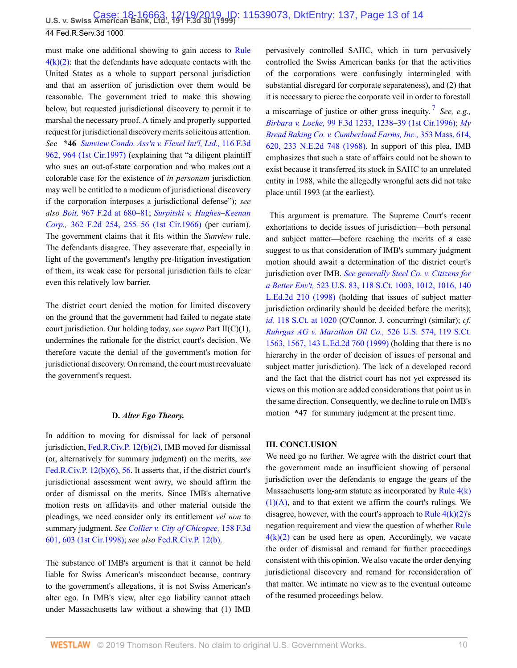must make one additional showing to gain access to [Rule](http://www.westlaw.com/Link/Document/FullText?findType=L&pubNum=1004365&cite=USFRCPR4&originatingDoc=I4c1d5a4094af11d9a707f4371c9c34f0&refType=LQ&originationContext=document&vr=3.0&rs=cblt1.0&transitionType=DocumentItem&contextData=(sc.History*oc.Search))  $4(k)(2)$ : that the defendants have adequate contacts with the United States as a whole to support personal jurisdiction and that an assertion of jurisdiction over them would be reasonable. The government tried to make this showing below, but requested jurisdictional discovery to permit it to marshal the necessary proof. A timely and properly supported request for jurisdictional discovery merits solicitous attention. *See* **\*46** *[Sunview Condo. Ass'n v. Flexel Int'l, Ltd.,](http://www.westlaw.com/Link/Document/FullText?findType=Y&serNum=1997134496&pubNum=506&originatingDoc=I4c1d5a4094af11d9a707f4371c9c34f0&refType=RP&fi=co_pp_sp_506_964&originationContext=document&vr=3.0&rs=cblt1.0&transitionType=DocumentItem&contextData=(sc.History*oc.Search)#co_pp_sp_506_964)* 116 F.3d [962, 964 \(1st Cir.1997\)](http://www.westlaw.com/Link/Document/FullText?findType=Y&serNum=1997134496&pubNum=506&originatingDoc=I4c1d5a4094af11d9a707f4371c9c34f0&refType=RP&fi=co_pp_sp_506_964&originationContext=document&vr=3.0&rs=cblt1.0&transitionType=DocumentItem&contextData=(sc.History*oc.Search)#co_pp_sp_506_964) (explaining that "a diligent plaintiff who sues an out-of-state corporation and who makes out a colorable case for the existence of *in personam* jurisdiction may well be entitled to a modicum of jurisdictional discovery if the corporation interposes a jurisdictional defense"); *see also Boit,* [967 F.2d at 680–81;](http://www.westlaw.com/Link/Document/FullText?findType=Y&serNum=1992103055&pubNum=350&originatingDoc=I4c1d5a4094af11d9a707f4371c9c34f0&refType=RP&fi=co_pp_sp_350_680&originationContext=document&vr=3.0&rs=cblt1.0&transitionType=DocumentItem&contextData=(sc.History*oc.Search)#co_pp_sp_350_680) *[Surpitski v. Hughes–Keenan](http://www.westlaw.com/Link/Document/FullText?findType=Y&serNum=1966121500&pubNum=350&originatingDoc=I4c1d5a4094af11d9a707f4371c9c34f0&refType=RP&fi=co_pp_sp_350_255&originationContext=document&vr=3.0&rs=cblt1.0&transitionType=DocumentItem&contextData=(sc.History*oc.Search)#co_pp_sp_350_255) Corp.,* [362 F.2d 254, 255–56 \(1st Cir.1966\)](http://www.westlaw.com/Link/Document/FullText?findType=Y&serNum=1966121500&pubNum=350&originatingDoc=I4c1d5a4094af11d9a707f4371c9c34f0&refType=RP&fi=co_pp_sp_350_255&originationContext=document&vr=3.0&rs=cblt1.0&transitionType=DocumentItem&contextData=(sc.History*oc.Search)#co_pp_sp_350_255) (per curiam). The government claims that it fits within the *Sunview* rule. The defendants disagree. They asseverate that, especially in light of the government's lengthy pre-litigation investigation of them, its weak case for personal jurisdiction fails to clear even this relatively low barrier.

The district court denied the motion for limited discovery on the ground that the government had failed to negate state court jurisdiction. Our holding today, *see supra* Part II(C)(1), undermines the rationale for the district court's decision. We therefore vacate the denial of the government's motion for jurisdictional discovery. On remand, the court must reevaluate the government's request.

#### **D.** *Alter Ego Theory.*

In addition to moving for dismissal for lack of personal jurisdiction, [Fed.R.Civ.P. 12\(b\)\(2\)](http://www.westlaw.com/Link/Document/FullText?findType=L&pubNum=1004365&cite=USFRCPR12&originatingDoc=I4c1d5a4094af11d9a707f4371c9c34f0&refType=LQ&originationContext=document&vr=3.0&rs=cblt1.0&transitionType=DocumentItem&contextData=(sc.History*oc.Search)), IMB moved for dismissal (or, alternatively for summary judgment) on the merits, *see* [Fed.R.Civ.P. 12\(b\)\(6\),](http://www.westlaw.com/Link/Document/FullText?findType=L&pubNum=1004365&cite=USFRCPR12&originatingDoc=I4c1d5a4094af11d9a707f4371c9c34f0&refType=LQ&originationContext=document&vr=3.0&rs=cblt1.0&transitionType=DocumentItem&contextData=(sc.History*oc.Search)) [56.](http://www.westlaw.com/Link/Document/FullText?findType=L&pubNum=1004365&cite=USFRCPR56&originatingDoc=I4c1d5a4094af11d9a707f4371c9c34f0&refType=LQ&originationContext=document&vr=3.0&rs=cblt1.0&transitionType=DocumentItem&contextData=(sc.History*oc.Search)) It asserts that, if the district court's jurisdictional assessment went awry, we should affirm the order of dismissal on the merits. Since IMB's alternative motion rests on affidavits and other material outside the pleadings, we need consider only its entitlement *vel non* to summary judgment. *See [Collier v. City of Chicopee,](http://www.westlaw.com/Link/Document/FullText?findType=Y&serNum=1998211735&pubNum=506&originatingDoc=I4c1d5a4094af11d9a707f4371c9c34f0&refType=RP&fi=co_pp_sp_506_603&originationContext=document&vr=3.0&rs=cblt1.0&transitionType=DocumentItem&contextData=(sc.History*oc.Search)#co_pp_sp_506_603)* 158 F.3d [601, 603 \(1st Cir.1998\)](http://www.westlaw.com/Link/Document/FullText?findType=Y&serNum=1998211735&pubNum=506&originatingDoc=I4c1d5a4094af11d9a707f4371c9c34f0&refType=RP&fi=co_pp_sp_506_603&originationContext=document&vr=3.0&rs=cblt1.0&transitionType=DocumentItem&contextData=(sc.History*oc.Search)#co_pp_sp_506_603); *see also* [Fed.R.Civ.P. 12\(b\).](http://www.westlaw.com/Link/Document/FullText?findType=L&pubNum=1004365&cite=USFRCPR12&originatingDoc=I4c1d5a4094af11d9a707f4371c9c34f0&refType=LQ&originationContext=document&vr=3.0&rs=cblt1.0&transitionType=DocumentItem&contextData=(sc.History*oc.Search))

The substance of IMB's argument is that it cannot be held liable for Swiss American's misconduct because, contrary to the government's allegations, it is not Swiss American's alter ego. In IMB's view, alter ego liability cannot attach under Massachusetts law without a showing that (1) IMB <span id="page-12-0"></span>pervasively controlled SAHC, which in turn pervasively controlled the Swiss American banks (or that the activities of the corporations were confusingly intermingled with substantial disregard for corporate separateness), and (2) that it is necessary to pierce the corporate veil in order to forestall a miscarriage of justice or other gross inequity. [7](#page-13-6) *See, e.g., Birbara v. Locke,* [99 F.3d 1233, 1238–39 \(1st Cir.1996\);](http://www.westlaw.com/Link/Document/FullText?findType=Y&serNum=1996246497&pubNum=506&originatingDoc=I4c1d5a4094af11d9a707f4371c9c34f0&refType=RP&fi=co_pp_sp_506_1238&originationContext=document&vr=3.0&rs=cblt1.0&transitionType=DocumentItem&contextData=(sc.History*oc.Search)#co_pp_sp_506_1238) *[My](http://www.westlaw.com/Link/Document/FullText?findType=Y&serNum=1968120694&pubNum=578&originatingDoc=I4c1d5a4094af11d9a707f4371c9c34f0&refType=RP&originationContext=document&vr=3.0&rs=cblt1.0&transitionType=DocumentItem&contextData=(sc.History*oc.Search)) [Bread Baking Co. v. Cumberland Farms, Inc.,](http://www.westlaw.com/Link/Document/FullText?findType=Y&serNum=1968120694&pubNum=578&originatingDoc=I4c1d5a4094af11d9a707f4371c9c34f0&refType=RP&originationContext=document&vr=3.0&rs=cblt1.0&transitionType=DocumentItem&contextData=(sc.History*oc.Search))* 353 Mass. 614, [620, 233 N.E.2d 748 \(1968\)](http://www.westlaw.com/Link/Document/FullText?findType=Y&serNum=1968120694&pubNum=578&originatingDoc=I4c1d5a4094af11d9a707f4371c9c34f0&refType=RP&originationContext=document&vr=3.0&rs=cblt1.0&transitionType=DocumentItem&contextData=(sc.History*oc.Search)). In support of this plea, IMB emphasizes that such a state of affairs could not be shown to exist because it transferred its stock in SAHC to an unrelated entity in 1988, while the allegedly wrongful acts did not take place until 1993 (at the earliest).

 This argument is premature. The Supreme Court's recent exhortations to decide issues of jurisdiction—both personal and subject matter—before reaching the merits of a case suggest to us that consideration of IMB's summary judgment motion should await a determination of the district court's jurisdiction over IMB. *[See generally Steel Co. v. Citizens for](http://www.westlaw.com/Link/Document/FullText?findType=Y&serNum=1998062036&pubNum=708&originatingDoc=I4c1d5a4094af11d9a707f4371c9c34f0&refType=RP&fi=co_pp_sp_708_1012&originationContext=document&vr=3.0&rs=cblt1.0&transitionType=DocumentItem&contextData=(sc.History*oc.Search)#co_pp_sp_708_1012) a Better Env't,* [523 U.S. 83, 118 S.Ct. 1003, 1012, 1016, 140](http://www.westlaw.com/Link/Document/FullText?findType=Y&serNum=1998062036&pubNum=708&originatingDoc=I4c1d5a4094af11d9a707f4371c9c34f0&refType=RP&fi=co_pp_sp_708_1012&originationContext=document&vr=3.0&rs=cblt1.0&transitionType=DocumentItem&contextData=(sc.History*oc.Search)#co_pp_sp_708_1012) [L.Ed.2d 210 \(1998\)](http://www.westlaw.com/Link/Document/FullText?findType=Y&serNum=1998062036&pubNum=708&originatingDoc=I4c1d5a4094af11d9a707f4371c9c34f0&refType=RP&fi=co_pp_sp_708_1012&originationContext=document&vr=3.0&rs=cblt1.0&transitionType=DocumentItem&contextData=(sc.History*oc.Search)#co_pp_sp_708_1012) (holding that issues of subject matter jurisdiction ordinarily should be decided before the merits); *id.* [118 S.Ct. at 1020](http://www.westlaw.com/Link/Document/FullText?findType=Y&serNum=1998062036&pubNum=708&originatingDoc=I4c1d5a4094af11d9a707f4371c9c34f0&refType=RP&fi=co_pp_sp_708_1020&originationContext=document&vr=3.0&rs=cblt1.0&transitionType=DocumentItem&contextData=(sc.History*oc.Search)#co_pp_sp_708_1020) (O'Connor, J. concurring) (similar); *cf. [Ruhrgas AG v. Marathon Oil Co.,](http://www.westlaw.com/Link/Document/FullText?findType=Y&serNum=1999122478&pubNum=708&originatingDoc=I4c1d5a4094af11d9a707f4371c9c34f0&refType=RP&fi=co_pp_sp_708_1567&originationContext=document&vr=3.0&rs=cblt1.0&transitionType=DocumentItem&contextData=(sc.History*oc.Search)#co_pp_sp_708_1567)* 526 U.S. 574, 119 S.Ct. [1563, 1567, 143 L.Ed.2d 760 \(1999\)](http://www.westlaw.com/Link/Document/FullText?findType=Y&serNum=1999122478&pubNum=708&originatingDoc=I4c1d5a4094af11d9a707f4371c9c34f0&refType=RP&fi=co_pp_sp_708_1567&originationContext=document&vr=3.0&rs=cblt1.0&transitionType=DocumentItem&contextData=(sc.History*oc.Search)#co_pp_sp_708_1567) (holding that there is no hierarchy in the order of decision of issues of personal and subject matter jurisdiction). The lack of a developed record and the fact that the district court has not yet expressed its views on this motion are added considerations that point us in the same direction. Consequently, we decline to rule on IMB's motion **\*47** for summary judgment at the present time.

#### **III. CONCLUSION**

We need go no further. We agree with the district court that the government made an insufficient showing of personal jurisdiction over the defendants to engage the gears of the Massachusetts long-arm statute as incorporated by [Rule 4\(k\)](http://www.westlaw.com/Link/Document/FullText?findType=L&pubNum=1004365&cite=USFRCPR4&originatingDoc=I4c1d5a4094af11d9a707f4371c9c34f0&refType=LQ&originationContext=document&vr=3.0&rs=cblt1.0&transitionType=DocumentItem&contextData=(sc.History*oc.Search))  $(1)(A)$ , and to that extent we affirm the court's rulings. We disagree, however, with the court's approach to Rule  $4(k)(2)$ 's negation requirement and view the question of whether [Rule](http://www.westlaw.com/Link/Document/FullText?findType=L&pubNum=1004365&cite=USFRCPR4&originatingDoc=I4c1d5a4094af11d9a707f4371c9c34f0&refType=LQ&originationContext=document&vr=3.0&rs=cblt1.0&transitionType=DocumentItem&contextData=(sc.History*oc.Search))  $4(k)(2)$  can be used here as open. Accordingly, we vacate the order of dismissal and remand for further proceedings consistent with this opinion. We also vacate the order denying jurisdictional discovery and remand for reconsideration of that matter. We intimate no view as to the eventual outcome of the resumed proceedings below.